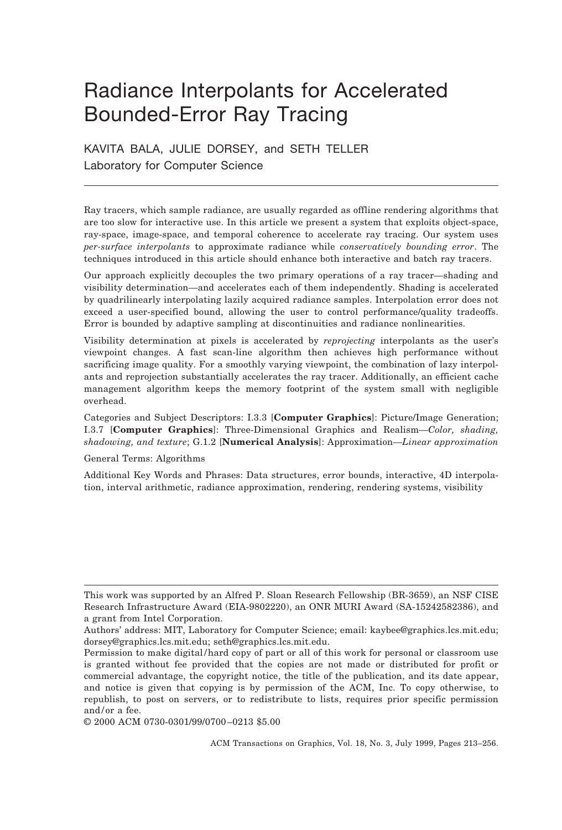# Radiance Interpolants for Accelerated Bounded-Error Ray Tracing

KAVITA BALA, JULIE DORSEY, and SETH TELLER Laboratory for Computer Science

Ray tracers, which sample radiance, are usually regarded as offline rendering algorithms that are too slow for interactive use. In this article we present a system that exploits object-space, ray-space, image-space, and temporal coherence to accelerate ray tracing. Our system uses *per-surface interpolants* to approximate radiance while *conservatively bounding error*. The techniques introduced in this article should enhance both interactive and batch ray tracers.

Our approach explicitly decouples the two primary operations of a ray tracer—shading and visibility determination—and accelerates each of them independently. Shading is accelerated by quadrilinearly interpolating lazily acquired radiance samples. Interpolation error does not exceed a user-specified bound, allowing the user to control performance/quality tradeoffs. Error is bounded by adaptive sampling at discontinuities and radiance nonlinearities.

Visibility determination at pixels is accelerated by *reprojecting* interpolants as the user's viewpoint changes. A fast scan-line algorithm then achieves high performance without sacrificing image quality. For a smoothly varying viewpoint, the combination of lazy interpolants and reprojection substantially accelerates the ray tracer. Additionally, an efficient cache management algorithm keeps the memory footprint of the system small with negligible overhead.

Categories and Subject Descriptors: I.3.3 [**Computer Graphics**]: Picture/Image Generation; I.3.7 [**Computer Graphics**]: Three-Dimensional Graphics and Realism—*Color, shading, shadowing, and texture*; G.1.2 [**Numerical Analysis**]: Approximation—*Linear approximation*

General Terms: Algorithms

Additional Key Words and Phrases: Data structures, error bounds, interactive, 4D interpolation, interval arithmetic, radiance approximation, rendering, rendering systems, visibility

ACM Transactions on Graphics, Vol. 18, No. 3, July 1999, Pages 213–256.

This work was supported by an Alfred P. Sloan Research Fellowship (BR-3659), an NSF CISE Research Infrastructure Award (EIA-9802220), an ONR MURI Award (SA-15242582386), and a grant from Intel Corporation.

Authors' address: MIT, Laboratory for Computer Science; email: kaybee@graphics.lcs.mit.edu; dorsey@graphics.lcs.mit.edu; seth@graphics.lcs.mit.edu.

Permission to make digital/hard copy of part or all of this work for personal or classroom use is granted without fee provided that the copies are not made or distributed for profit or commercial advantage, the copyright notice, the title of the publication, and its date appear, and notice is given that copying is by permission of the ACM, Inc. To copy otherwise, to republish, to post on servers, or to redistribute to lists, requires prior specific permission and/or a fee.

<sup>© 2000</sup> ACM 0730-0301/99/0700–0213 \$5.00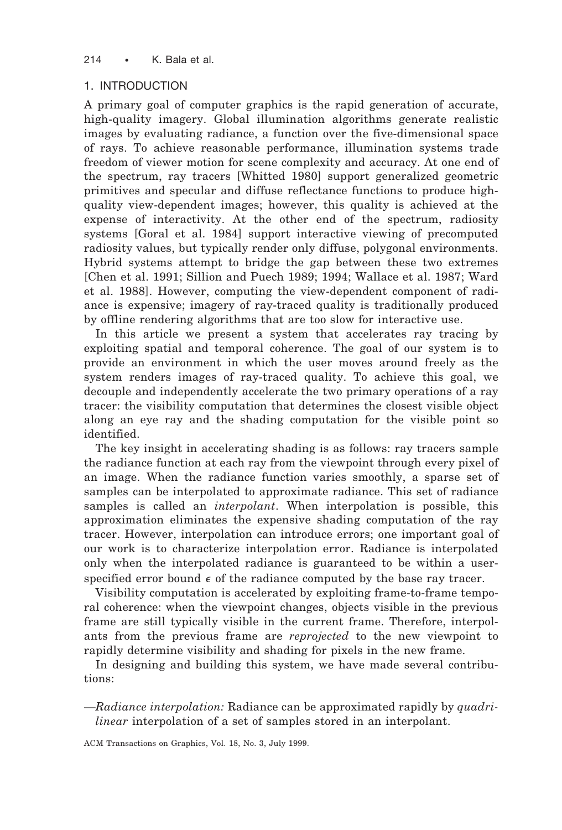## 1. INTRODUCTION

A primary goal of computer graphics is the rapid generation of accurate, high-quality imagery. Global illumination algorithms generate realistic images by evaluating radiance, a function over the five-dimensional space of rays. To achieve reasonable performance, illumination systems trade freedom of viewer motion for scene complexity and accuracy. At one end of the spectrum, ray tracers [Whitted 1980] support generalized geometric primitives and specular and diffuse reflectance functions to produce highquality view-dependent images; however, this quality is achieved at the expense of interactivity. At the other end of the spectrum, radiosity systems [Goral et al. 1984] support interactive viewing of precomputed radiosity values, but typically render only diffuse, polygonal environments. Hybrid systems attempt to bridge the gap between these two extremes [Chen et al. 1991; Sillion and Puech 1989; 1994; Wallace et al. 1987; Ward et al. 1988]. However, computing the view-dependent component of radiance is expensive; imagery of ray-traced quality is traditionally produced by offline rendering algorithms that are too slow for interactive use.

In this article we present a system that accelerates ray tracing by exploiting spatial and temporal coherence. The goal of our system is to provide an environment in which the user moves around freely as the system renders images of ray-traced quality. To achieve this goal, we decouple and independently accelerate the two primary operations of a ray tracer: the visibility computation that determines the closest visible object along an eye ray and the shading computation for the visible point so identified.

The key insight in accelerating shading is as follows: ray tracers sample the radiance function at each ray from the viewpoint through every pixel of an image. When the radiance function varies smoothly, a sparse set of samples can be interpolated to approximate radiance. This set of radiance samples is called an *interpolant*. When interpolation is possible, this approximation eliminates the expensive shading computation of the ray tracer. However, interpolation can introduce errors; one important goal of our work is to characterize interpolation error. Radiance is interpolated only when the interpolated radiance is guaranteed to be within a userspecified error bound  $\epsilon$  of the radiance computed by the base ray tracer.

Visibility computation is accelerated by exploiting frame-to-frame temporal coherence: when the viewpoint changes, objects visible in the previous frame are still typically visible in the current frame. Therefore, interpolants from the previous frame are *reprojected* to the new viewpoint to rapidly determine visibility and shading for pixels in the new frame.

In designing and building this system, we have made several contributions:

—*Radiance interpolation:* Radiance can be approximated rapidly by *quadrilinear* interpolation of a set of samples stored in an interpolant.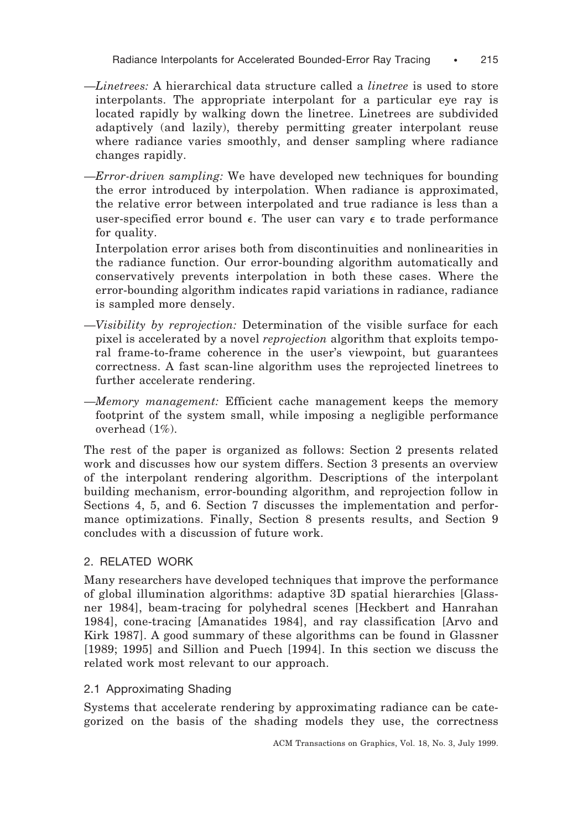- —*Linetrees:* A hierarchical data structure called a *linetree* is used to store interpolants. The appropriate interpolant for a particular eye ray is located rapidly by walking down the linetree. Linetrees are subdivided adaptively (and lazily), thereby permitting greater interpolant reuse where radiance varies smoothly, and denser sampling where radiance changes rapidly.
- —*Error-driven sampling:* We have developed new techniques for bounding the error introduced by interpolation. When radiance is approximated, the relative error between interpolated and true radiance is less than a user-specified error bound  $\epsilon$ . The user can vary  $\epsilon$  to trade performance for quality.

Interpolation error arises both from discontinuities and nonlinearities in the radiance function. Our error-bounding algorithm automatically and conservatively prevents interpolation in both these cases. Where the error-bounding algorithm indicates rapid variations in radiance, radiance is sampled more densely.

- —*Visibility by reprojection:* Determination of the visible surface for each pixel is accelerated by a novel *reprojection* algorithm that exploits temporal frame-to-frame coherence in the user's viewpoint, but guarantees correctness. A fast scan-line algorithm uses the reprojected linetrees to further accelerate rendering.
- —*Memory management:* Efficient cache management keeps the memory footprint of the system small, while imposing a negligible performance overhead (1%).

The rest of the paper is organized as follows: Section 2 presents related work and discusses how our system differs. Section 3 presents an overview of the interpolant rendering algorithm. Descriptions of the interpolant building mechanism, error-bounding algorithm, and reprojection follow in Sections 4, 5, and 6. Section 7 discusses the implementation and performance optimizations. Finally, Section 8 presents results, and Section 9 concludes with a discussion of future work.

# 2. RELATED WORK

Many researchers have developed techniques that improve the performance of global illumination algorithms: adaptive 3D spatial hierarchies [Glassner 1984], beam-tracing for polyhedral scenes [Heckbert and Hanrahan 1984], cone-tracing [Amanatides 1984], and ray classification [Arvo and Kirk 1987]. A good summary of these algorithms can be found in Glassner [1989; 1995] and Sillion and Puech [1994]. In this section we discuss the related work most relevant to our approach.

# 2.1 Approximating Shading

Systems that accelerate rendering by approximating radiance can be categorized on the basis of the shading models they use, the correctness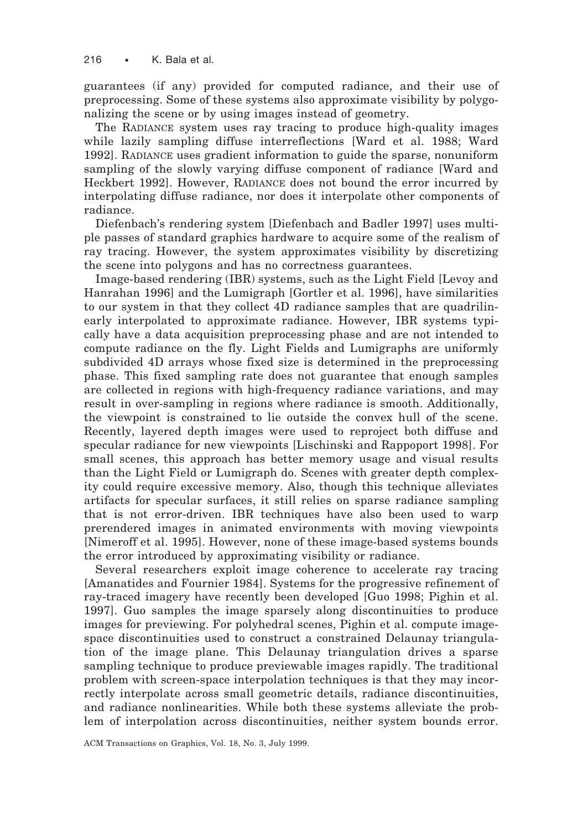guarantees (if any) provided for computed radiance, and their use of preprocessing. Some of these systems also approximate visibility by polygonalizing the scene or by using images instead of geometry.

The RADIANCE system uses ray tracing to produce high-quality images while lazily sampling diffuse interreflections [Ward et al. 1988; Ward 1992]. RADIANCE uses gradient information to guide the sparse, nonuniform sampling of the slowly varying diffuse component of radiance [Ward and Heckbert 1992]. However, RADIANCE does not bound the error incurred by interpolating diffuse radiance, nor does it interpolate other components of radiance.

Diefenbach's rendering system [Diefenbach and Badler 1997] uses multiple passes of standard graphics hardware to acquire some of the realism of ray tracing. However, the system approximates visibility by discretizing the scene into polygons and has no correctness guarantees.

Image-based rendering (IBR) systems, such as the Light Field [Levoy and Hanrahan 1996] and the Lumigraph [Gortler et al. 1996], have similarities to our system in that they collect 4D radiance samples that are quadrilinearly interpolated to approximate radiance. However, IBR systems typically have a data acquisition preprocessing phase and are not intended to compute radiance on the fly. Light Fields and Lumigraphs are uniformly subdivided 4D arrays whose fixed size is determined in the preprocessing phase. This fixed sampling rate does not guarantee that enough samples are collected in regions with high-frequency radiance variations, and may result in over-sampling in regions where radiance is smooth. Additionally, the viewpoint is constrained to lie outside the convex hull of the scene. Recently, layered depth images were used to reproject both diffuse and specular radiance for new viewpoints [Lischinski and Rappoport 1998]. For small scenes, this approach has better memory usage and visual results than the Light Field or Lumigraph do. Scenes with greater depth complexity could require excessive memory. Also, though this technique alleviates artifacts for specular surfaces, it still relies on sparse radiance sampling that is not error-driven. IBR techniques have also been used to warp prerendered images in animated environments with moving viewpoints [Nimeroff et al. 1995]. However, none of these image-based systems bounds the error introduced by approximating visibility or radiance.

Several researchers exploit image coherence to accelerate ray tracing [Amanatides and Fournier 1984]. Systems for the progressive refinement of ray-traced imagery have recently been developed [Guo 1998; Pighin et al. 1997]. Guo samples the image sparsely along discontinuities to produce images for previewing. For polyhedral scenes, Pighin et al. compute imagespace discontinuities used to construct a constrained Delaunay triangulation of the image plane. This Delaunay triangulation drives a sparse sampling technique to produce previewable images rapidly. The traditional problem with screen-space interpolation techniques is that they may incorrectly interpolate across small geometric details, radiance discontinuities, and radiance nonlinearities. While both these systems alleviate the problem of interpolation across discontinuities, neither system bounds error.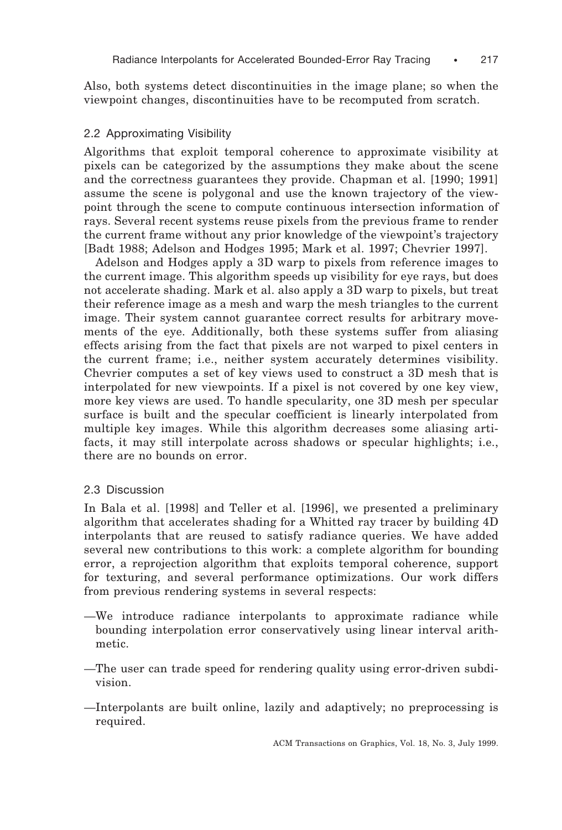Also, both systems detect discontinuities in the image plane; so when the viewpoint changes, discontinuities have to be recomputed from scratch.

## 2.2 Approximating Visibility

Algorithms that exploit temporal coherence to approximate visibility at pixels can be categorized by the assumptions they make about the scene and the correctness guarantees they provide. Chapman et al. [1990; 1991] assume the scene is polygonal and use the known trajectory of the viewpoint through the scene to compute continuous intersection information of rays. Several recent systems reuse pixels from the previous frame to render the current frame without any prior knowledge of the viewpoint's trajectory [Badt 1988; Adelson and Hodges 1995; Mark et al. 1997; Chevrier 1997].

Adelson and Hodges apply a 3D warp to pixels from reference images to the current image. This algorithm speeds up visibility for eye rays, but does not accelerate shading. Mark et al. also apply a 3D warp to pixels, but treat their reference image as a mesh and warp the mesh triangles to the current image. Their system cannot guarantee correct results for arbitrary movements of the eye. Additionally, both these systems suffer from aliasing effects arising from the fact that pixels are not warped to pixel centers in the current frame; i.e., neither system accurately determines visibility. Chevrier computes a set of key views used to construct a 3D mesh that is interpolated for new viewpoints. If a pixel is not covered by one key view, more key views are used. To handle specularity, one 3D mesh per specular surface is built and the specular coefficient is linearly interpolated from multiple key images. While this algorithm decreases some aliasing artifacts, it may still interpolate across shadows or specular highlights; i.e., there are no bounds on error.

## 2.3 Discussion

In Bala et al. [1998] and Teller et al. [1996], we presented a preliminary algorithm that accelerates shading for a Whitted ray tracer by building 4D interpolants that are reused to satisfy radiance queries. We have added several new contributions to this work: a complete algorithm for bounding error, a reprojection algorithm that exploits temporal coherence, support for texturing, and several performance optimizations. Our work differs from previous rendering systems in several respects:

- —We introduce radiance interpolants to approximate radiance while bounding interpolation error conservatively using linear interval arithmetic.
- —The user can trade speed for rendering quality using error-driven subdivision.
- —Interpolants are built online, lazily and adaptively; no preprocessing is required.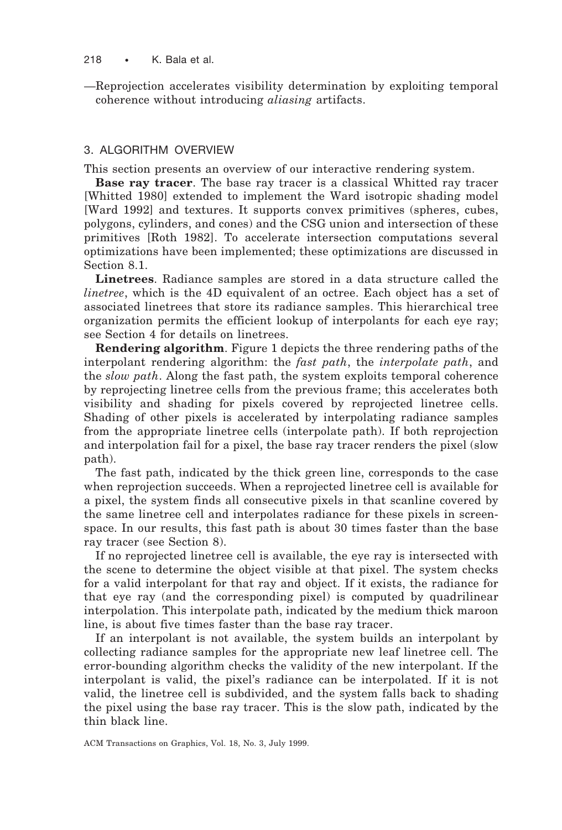—Reprojection accelerates visibility determination by exploiting temporal coherence without introducing *aliasing* artifacts.

## 3. ALGORITHM OVERVIEW

This section presents an overview of our interactive rendering system.

**Base ray tracer**. The base ray tracer is a classical Whitted ray tracer [Whitted 1980] extended to implement the Ward isotropic shading model [Ward 1992] and textures. It supports convex primitives (spheres, cubes, polygons, cylinders, and cones) and the CSG union and intersection of these primitives [Roth 1982]. To accelerate intersection computations several optimizations have been implemented; these optimizations are discussed in Section 8.1.

**Linetrees**. Radiance samples are stored in a data structure called the *linetree*, which is the 4D equivalent of an octree. Each object has a set of associated linetrees that store its radiance samples. This hierarchical tree organization permits the efficient lookup of interpolants for each eye ray; see Section 4 for details on linetrees.

**Rendering algorithm**. Figure 1 depicts the three rendering paths of the interpolant rendering algorithm: the *fast path*, the *interpolate path*, and the *slow path*. Along the fast path, the system exploits temporal coherence by reprojecting linetree cells from the previous frame; this accelerates both visibility and shading for pixels covered by reprojected linetree cells. Shading of other pixels is accelerated by interpolating radiance samples from the appropriate linetree cells (interpolate path). If both reprojection and interpolation fail for a pixel, the base ray tracer renders the pixel (slow path).

The fast path, indicated by the thick green line, corresponds to the case when reprojection succeeds. When a reprojected linetree cell is available for a pixel, the system finds all consecutive pixels in that scanline covered by the same linetree cell and interpolates radiance for these pixels in screenspace. In our results, this fast path is about 30 times faster than the base ray tracer (see Section 8).

If no reprojected linetree cell is available, the eye ray is intersected with the scene to determine the object visible at that pixel. The system checks for a valid interpolant for that ray and object. If it exists, the radiance for that eye ray (and the corresponding pixel) is computed by quadrilinear interpolation. This interpolate path, indicated by the medium thick maroon line, is about five times faster than the base ray tracer.

If an interpolant is not available, the system builds an interpolant by collecting radiance samples for the appropriate new leaf linetree cell. The error-bounding algorithm checks the validity of the new interpolant. If the interpolant is valid, the pixel's radiance can be interpolated. If it is not valid, the linetree cell is subdivided, and the system falls back to shading the pixel using the base ray tracer. This is the slow path, indicated by the thin black line.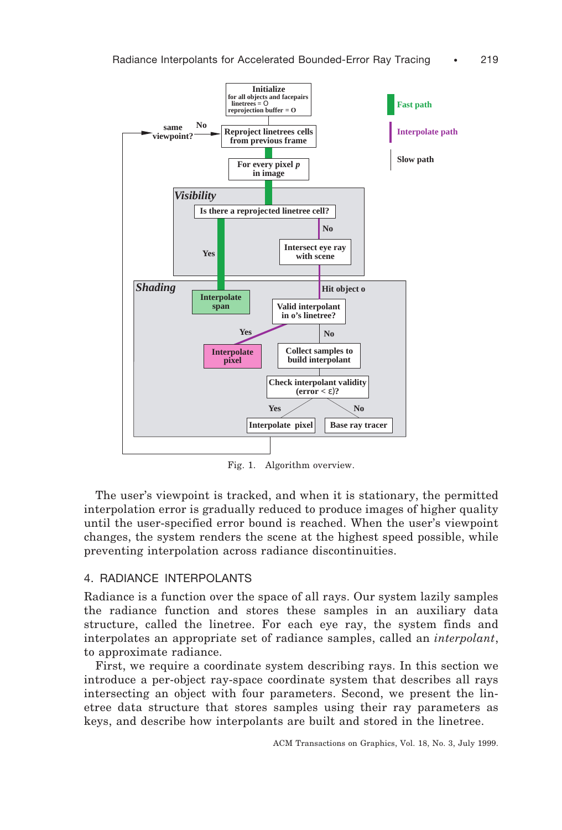

Fig. 1. Algorithm overview.

The user's viewpoint is tracked, and when it is stationary, the permitted interpolation error is gradually reduced to produce images of higher quality until the user-specified error bound is reached. When the user's viewpoint changes, the system renders the scene at the highest speed possible, while preventing interpolation across radiance discontinuities.

## 4. RADIANCE INTERPOLANTS

Radiance is a function over the space of all rays. Our system lazily samples the radiance function and stores these samples in an auxiliary data structure, called the linetree. For each eye ray, the system finds and interpolates an appropriate set of radiance samples, called an *interpolant*, to approximate radiance.

First, we require a coordinate system describing rays. In this section we introduce a per-object ray-space coordinate system that describes all rays intersecting an object with four parameters. Second, we present the linetree data structure that stores samples using their ray parameters as keys, and describe how interpolants are built and stored in the linetree.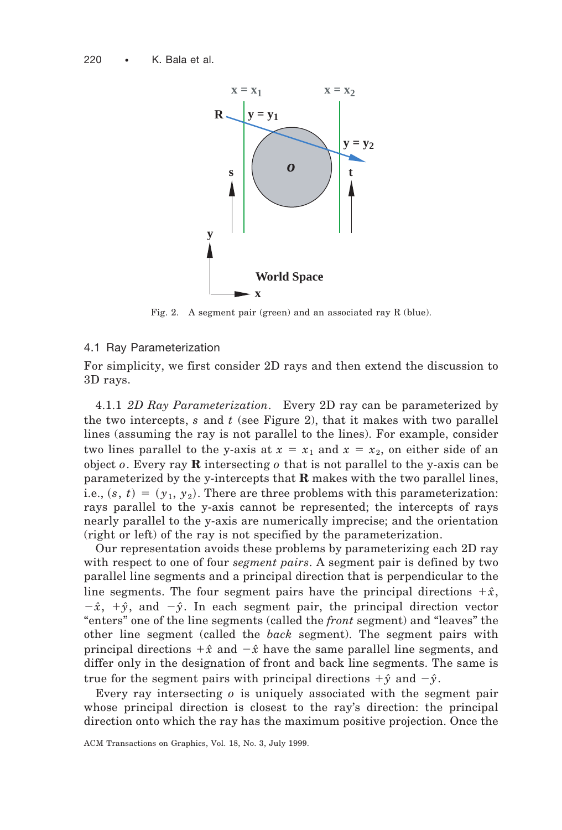

Fig. 2. A segment pair (green) and an associated ray R (blue).

#### 4.1 Ray Parameterization

For simplicity, we first consider 2D rays and then extend the discussion to 3D rays.

4.1.1 *2D Ray Parameterization*. Every 2D ray can be parameterized by the two intercepts, *s* and *t* (see Figure 2), that it makes with two parallel lines (assuming the ray is not parallel to the lines). For example, consider two lines parallel to the y-axis at  $x = x_1$  and  $x = x_2$ , on either side of an object *o*. Every ray **R** intersecting *o* that is not parallel to the y-axis can be parameterized by the y-intercepts that **R** makes with the two parallel lines, i.e.,  $(s, t) = (y_1, y_2)$ . There are three problems with this parameterization: rays parallel to the y-axis cannot be represented; the intercepts of rays nearly parallel to the y-axis are numerically imprecise; and the orientation (right or left) of the ray is not specified by the parameterization.

Our representation avoids these problems by parameterizing each 2D ray with respect to one of four *segment pairs*. A segment pair is defined by two parallel line segments and a principal direction that is perpendicular to the line segments. The four segment pairs have the principal directions  $+\hat{x}$ ,  $-\hat{x}$ ,  $+\hat{y}$ , and  $-\hat{y}$ . In each segment pair, the principal direction vector "enters" one of the line segments (called the *front* segment) and "leaves" the other line segment (called the *back* segment). The segment pairs with principal directions  $+\hat{x}$  and  $-\hat{x}$  have the same parallel line segments, and differ only in the designation of front and back line segments. The same is true for the segment pairs with principal directions  $+\hat{y}$  and  $-\hat{y}$ .

Every ray intersecting *o* is uniquely associated with the segment pair whose principal direction is closest to the ray's direction: the principal direction onto which the ray has the maximum positive projection. Once the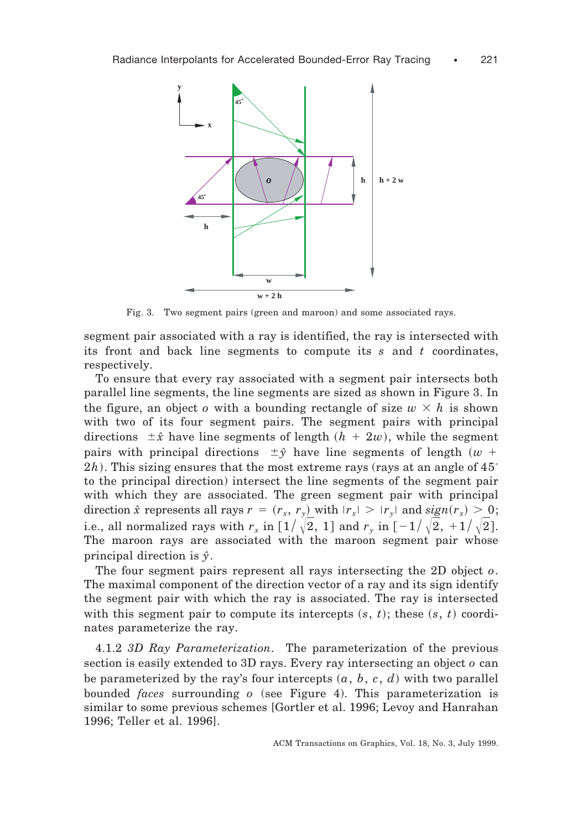

Fig. 3. Two segment pairs (green and maroon) and some associated rays.

segment pair associated with a ray is identified, the ray is intersected with its front and back line segments to compute its *s* and *t* coordinates, respectively.

To ensure that every ray associated with a segment pair intersects both parallel line segments, the line segments are sized as shown in Figure 3. In the figure, an object *o* with a bounding rectangle of size  $w \times h$  is shown with two of its four segment pairs. The segment pairs with principal directions  $\pm \hat{x}$  have line segments of length  $(h + 2w)$ , while the segment pairs with principal directions  $\pm \hat{v}$  have line segments of length (*w* +  $2h$ ). This sizing ensures that the most extreme rays (rays at an angle of  $45^{\circ}$ ) to the principal direction) intersect the line segments of the segment pair with which they are associated. The green segment pair with principal direction  $\hat{x}$  represents all rays  $r = (r_x, r_y)$  with  $|r_x| > |r_y|$  and  $sign(r_x) > 0$ ; i.e., all normalized rays with  $r_x$  in  $\left[1/\sqrt{2}, 1\right]$  and  $r_y$  in  $\left[-1/\sqrt{2}, +1/\sqrt{2}\right]$ . The maroon rays are associated with the maroon segment pair whose principal direction is *yˆ*.

The four segment pairs represent all rays intersecting the 2D object *o*. The maximal component of the direction vector of a ray and its sign identify the segment pair with which the ray is associated. The ray is intersected with this segment pair to compute its intercepts  $(s, t)$ ; these  $(s, t)$  coordinates parameterize the ray.

4.1.2 *3D Ray Parameterization*. The parameterization of the previous section is easily extended to 3D rays. Every ray intersecting an object *o* can be parameterized by the ray's four intercepts  $(a, b, c, d)$  with two parallel bounded *faces* surrounding *o* (see Figure 4). This parameterization is similar to some previous schemes [Gortler et al. 1996; Levoy and Hanrahan 1996; Teller et al. 1996].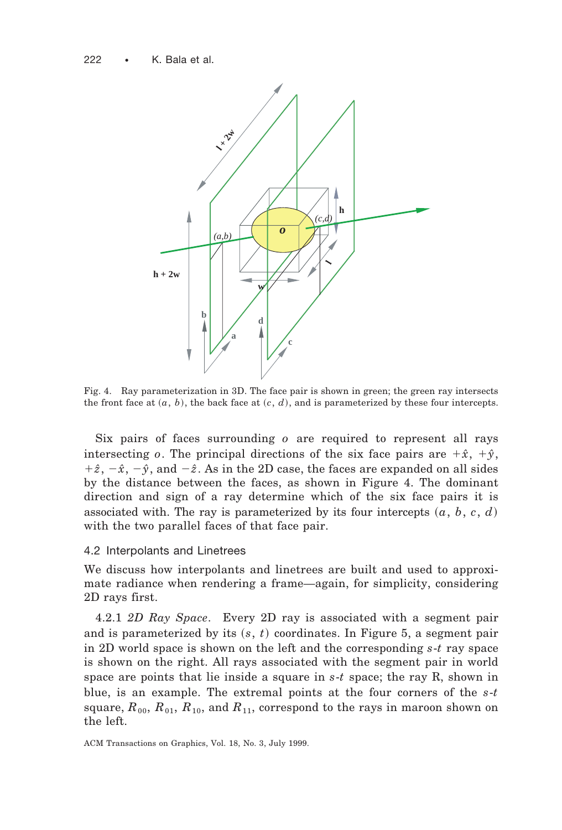

Fig. 4. Ray parameterization in 3D. The face pair is shown in green; the green ray intersects the front face at  $(a, b)$ , the back face at  $(c, d)$ , and is parameterized by these four intercepts.

Six pairs of faces surrounding *o* are required to represent all rays intersecting *o*. The principal directions of the six face pairs are  $+\hat{x}$ ,  $+\hat{y}$ ,  $\pm \hat{z}$ ,  $-\hat{x}$ ,  $-\hat{y}$ , and  $-\hat{z}$ . As in the 2D case, the faces are expanded on all sides by the distance between the faces, as shown in Figure 4. The dominant direction and sign of a ray determine which of the six face pairs it is associated with. The ray is parameterized by its four intercepts  $(a, b, c, d)$ with the two parallel faces of that face pair.

#### 4.2 Interpolants and Linetrees

We discuss how interpolants and linetrees are built and used to approximate radiance when rendering a frame—again, for simplicity, considering 2D rays first.

4.2.1 *2D Ray Space*. Every 2D ray is associated with a segment pair and is parameterized by its  $(s, t)$  coordinates. In Figure 5, a segment pair in 2D world space is shown on the left and the corresponding *s*-*t* ray space is shown on the right. All rays associated with the segment pair in world space are points that lie inside a square in *s*-*t* space; the ray R, shown in blue, is an example. The extremal points at the four corners of the *s*-*t* square,  $R_{00}$ ,  $R_{01}$ ,  $R_{10}$ , and  $R_{11}$ , correspond to the rays in maroon shown on the left.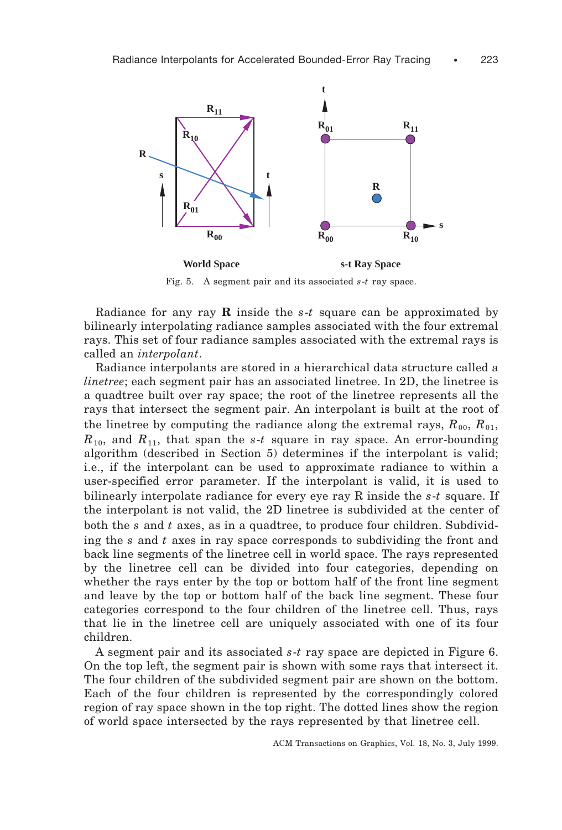

Fig. 5. A segment pair and its associated *s*-*t* ray space.

Radiance for any ray **R** inside the *s*-*t* square can be approximated by bilinearly interpolating radiance samples associated with the four extremal rays. This set of four radiance samples associated with the extremal rays is called an *interpolant*.

Radiance interpolants are stored in a hierarchical data structure called a *linetree*; each segment pair has an associated linetree. In 2D, the linetree is a quadtree built over ray space; the root of the linetree represents all the rays that intersect the segment pair. An interpolant is built at the root of the linetree by computing the radiance along the extremal rays,  $R_{00}$ ,  $R_{01}$ , *R*10, and *R*11, that span the *s*-*t* square in ray space. An error-bounding algorithm (described in Section 5) determines if the interpolant is valid; i.e., if the interpolant can be used to approximate radiance to within a user-specified error parameter. If the interpolant is valid, it is used to bilinearly interpolate radiance for every eye ray R inside the *s*-*t* square. If the interpolant is not valid, the 2D linetree is subdivided at the center of both the *s* and *t* axes, as in a quadtree, to produce four children. Subdividing the *s* and *t* axes in ray space corresponds to subdividing the front and back line segments of the linetree cell in world space. The rays represented by the linetree cell can be divided into four categories, depending on whether the rays enter by the top or bottom half of the front line segment and leave by the top or bottom half of the back line segment. These four categories correspond to the four children of the linetree cell. Thus, rays that lie in the linetree cell are uniquely associated with one of its four children.

A segment pair and its associated *s*-*t* ray space are depicted in Figure 6. On the top left, the segment pair is shown with some rays that intersect it. The four children of the subdivided segment pair are shown on the bottom. Each of the four children is represented by the correspondingly colored region of ray space shown in the top right. The dotted lines show the region of world space intersected by the rays represented by that linetree cell.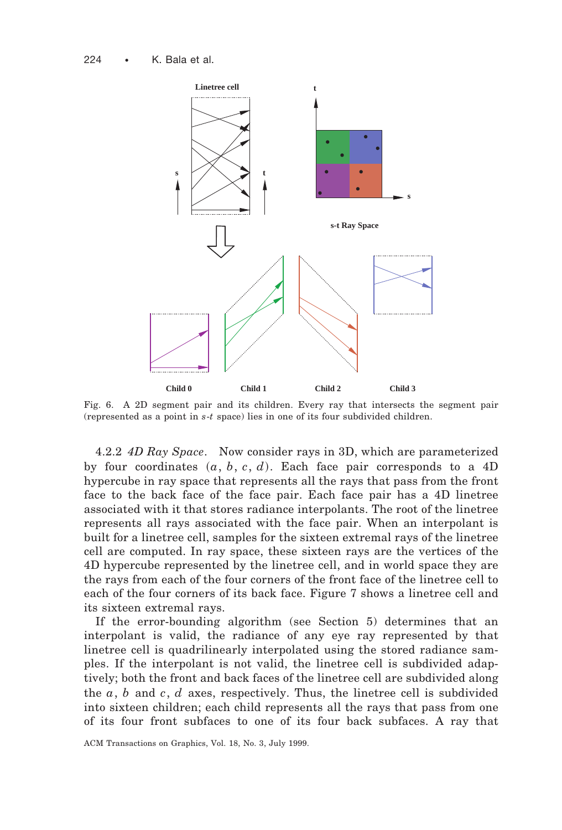

Fig. 6. A 2D segment pair and its children. Every ray that intersects the segment pair (represented as a point in *s*-*t* space) lies in one of its four subdivided children.

4.2.2 *4D Ray Space*. Now consider rays in 3D, which are parameterized by four coordinates  $(a, b, c, d)$ . Each face pair corresponds to a 4D hypercube in ray space that represents all the rays that pass from the front face to the back face of the face pair. Each face pair has a 4D linetree associated with it that stores radiance interpolants. The root of the linetree represents all rays associated with the face pair. When an interpolant is built for a linetree cell, samples for the sixteen extremal rays of the linetree cell are computed. In ray space, these sixteen rays are the vertices of the 4D hypercube represented by the linetree cell, and in world space they are the rays from each of the four corners of the front face of the linetree cell to each of the four corners of its back face. Figure 7 shows a linetree cell and its sixteen extremal rays.

If the error-bounding algorithm (see Section 5) determines that an interpolant is valid, the radiance of any eye ray represented by that linetree cell is quadrilinearly interpolated using the stored radiance samples. If the interpolant is not valid, the linetree cell is subdivided adaptively; both the front and back faces of the linetree cell are subdivided along the  $a, b$  and  $c, d$  axes, respectively. Thus, the linetree cell is subdivided into sixteen children; each child represents all the rays that pass from one of its four front subfaces to one of its four back subfaces. A ray that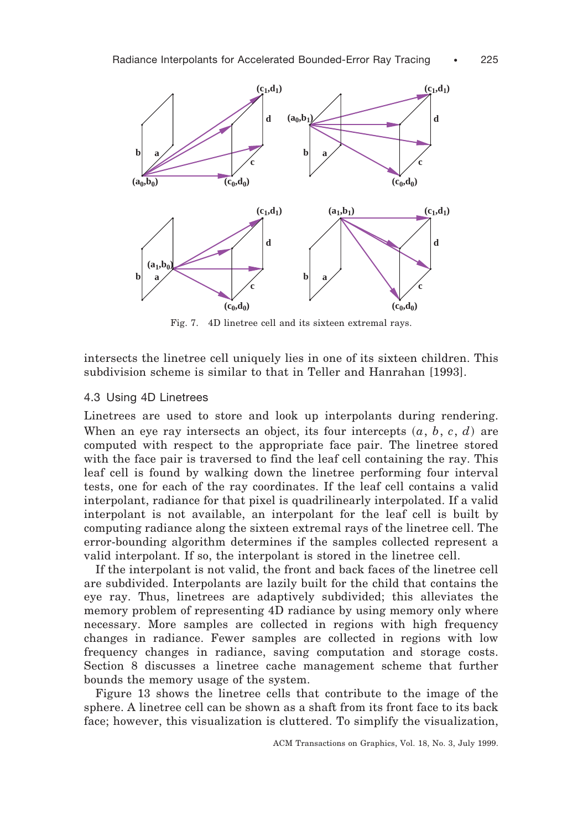

Fig. 7. 4D linetree cell and its sixteen extremal rays.

intersects the linetree cell uniquely lies in one of its sixteen children. This subdivision scheme is similar to that in Teller and Hanrahan [1993].

#### 4.3 Using 4D Linetrees

Linetrees are used to store and look up interpolants during rendering. When an eye ray intersects an object, its four intercepts  $(a, b, c, d)$  are computed with respect to the appropriate face pair. The linetree stored with the face pair is traversed to find the leaf cell containing the ray. This leaf cell is found by walking down the linetree performing four interval tests, one for each of the ray coordinates. If the leaf cell contains a valid interpolant, radiance for that pixel is quadrilinearly interpolated. If a valid interpolant is not available, an interpolant for the leaf cell is built by computing radiance along the sixteen extremal rays of the linetree cell. The error-bounding algorithm determines if the samples collected represent a valid interpolant. If so, the interpolant is stored in the linetree cell.

If the interpolant is not valid, the front and back faces of the linetree cell are subdivided. Interpolants are lazily built for the child that contains the eye ray. Thus, linetrees are adaptively subdivided; this alleviates the memory problem of representing 4D radiance by using memory only where necessary. More samples are collected in regions with high frequency changes in radiance. Fewer samples are collected in regions with low frequency changes in radiance, saving computation and storage costs. Section 8 discusses a linetree cache management scheme that further bounds the memory usage of the system.

Figure 13 shows the linetree cells that contribute to the image of the sphere. A linetree cell can be shown as a shaft from its front face to its back face; however, this visualization is cluttered. To simplify the visualization,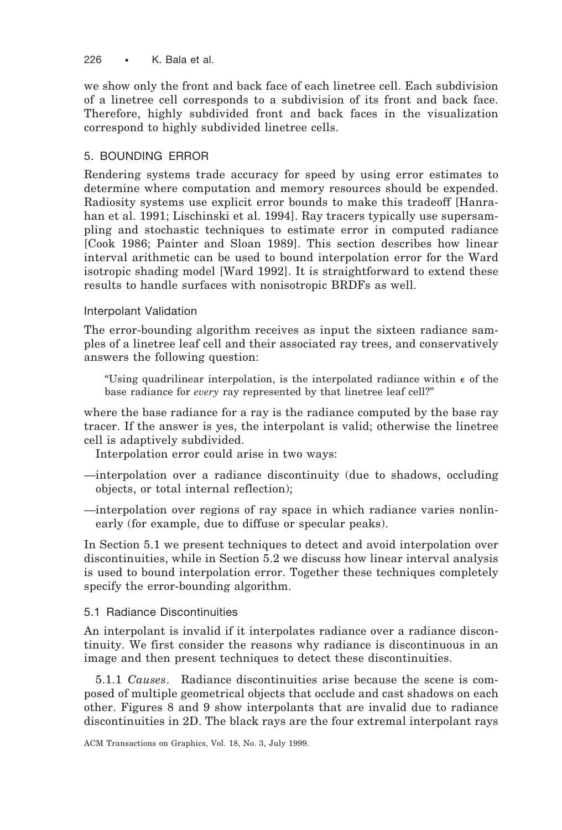we show only the front and back face of each linetree cell. Each subdivision of a linetree cell corresponds to a subdivision of its front and back face. Therefore, highly subdivided front and back faces in the visualization correspond to highly subdivided linetree cells.

# 5. BOUNDING ERROR

Rendering systems trade accuracy for speed by using error estimates to determine where computation and memory resources should be expended. Radiosity systems use explicit error bounds to make this tradeoff [Hanrahan et al. 1991; Lischinski et al. 1994]. Ray tracers typically use supersampling and stochastic techniques to estimate error in computed radiance [Cook 1986; Painter and Sloan 1989]. This section describes how linear interval arithmetic can be used to bound interpolation error for the Ward isotropic shading model [Ward 1992]. It is straightforward to extend these results to handle surfaces with nonisotropic BRDFs as well.

## Interpolant Validation

The error-bounding algorithm receives as input the sixteen radiance samples of a linetree leaf cell and their associated ray trees, and conservatively answers the following question:

"Using quadrilinear interpolation, is the interpolated radiance within  $\epsilon$  of the base radiance for *every* ray represented by that linetree leaf cell?"

where the base radiance for a ray is the radiance computed by the base ray tracer. If the answer is yes, the interpolant is valid; otherwise the linetree cell is adaptively subdivided.

Interpolation error could arise in two ways:

—interpolation over a radiance discontinuity (due to shadows, occluding objects, or total internal reflection);

—interpolation over regions of ray space in which radiance varies nonlinearly (for example, due to diffuse or specular peaks).

In Section 5.1 we present techniques to detect and avoid interpolation over discontinuities, while in Section 5.2 we discuss how linear interval analysis is used to bound interpolation error. Together these techniques completely specify the error-bounding algorithm.

# 5.1 Radiance Discontinuities

An interpolant is invalid if it interpolates radiance over a radiance discontinuity. We first consider the reasons why radiance is discontinuous in an image and then present techniques to detect these discontinuities.

5.1.1 *Causes*. Radiance discontinuities arise because the scene is composed of multiple geometrical objects that occlude and cast shadows on each other. Figures 8 and 9 show interpolants that are invalid due to radiance discontinuities in 2D. The black rays are the four extremal interpolant rays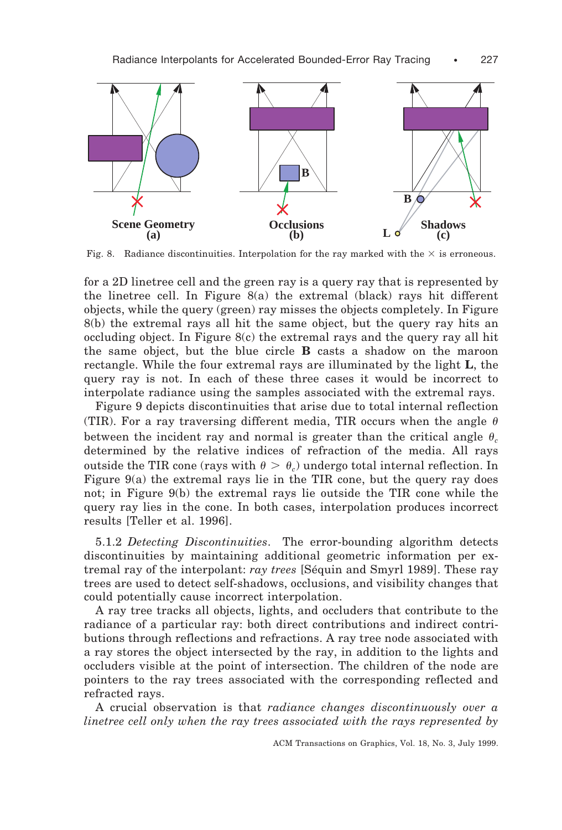

Fig. 8. Radiance discontinuities. Interpolation for the ray marked with the  $\times$  is erroneous.

for a 2D linetree cell and the green ray is a query ray that is represented by the linetree cell. In Figure  $8(a)$  the extremal (black) rays hit different objects, while the query (green) ray misses the objects completely. In Figure 8(b) the extremal rays all hit the same object, but the query ray hits an occluding object. In Figure 8(c) the extremal rays and the query ray all hit the same object, but the blue circle **B** casts a shadow on the maroon rectangle. While the four extremal rays are illuminated by the light **L**, the query ray is not. In each of these three cases it would be incorrect to interpolate radiance using the samples associated with the extremal rays.

Figure 9 depicts discontinuities that arise due to total internal reflection (TIR). For a ray traversing different media, TIR occurs when the angle  $\theta$ between the incident ray and normal is greater than the critical angle  $\theta_c$ determined by the relative indices of refraction of the media. All rays outside the TIR cone (rays with  $\theta > \theta_c$ ) undergo total internal reflection. In Figure  $9(a)$  the extremal rays lie in the TIR cone, but the query ray does not; in Figure 9(b) the extremal rays lie outside the TIR cone while the query ray lies in the cone. In both cases, interpolation produces incorrect results [Teller et al. 1996].

5.1.2 *Detecting Discontinuities*. The error-bounding algorithm detects discontinuities by maintaining additional geometric information per extremal ray of the interpolant: *ray trees* [Séquin and Smyrl 1989]. These ray trees are used to detect self-shadows, occlusions, and visibility changes that could potentially cause incorrect interpolation.

A ray tree tracks all objects, lights, and occluders that contribute to the radiance of a particular ray: both direct contributions and indirect contributions through reflections and refractions. A ray tree node associated with a ray stores the object intersected by the ray, in addition to the lights and occluders visible at the point of intersection. The children of the node are pointers to the ray trees associated with the corresponding reflected and refracted rays.

A crucial observation is that *radiance changes discontinuously over a linetree cell only when the ray trees associated with the rays represented by*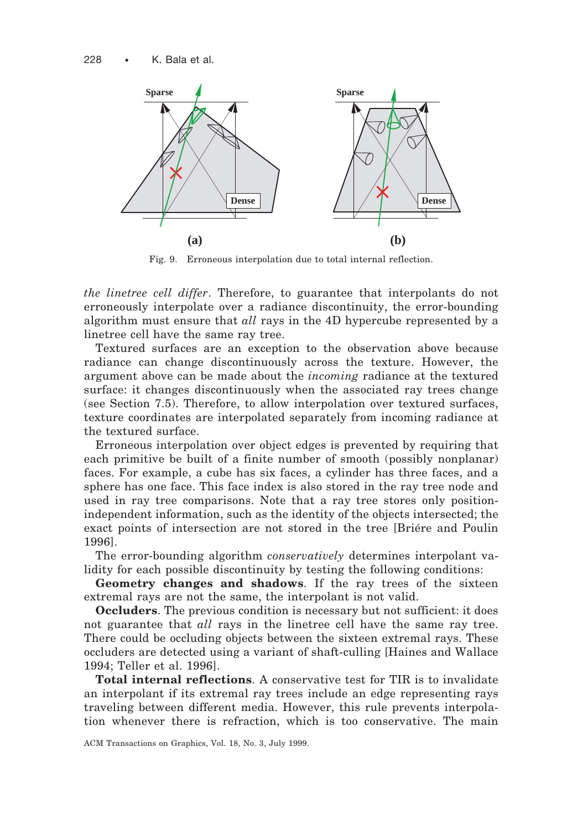

Fig. 9. Erroneous interpolation due to total internal reflection.

*the linetree cell differ*. Therefore, to guarantee that interpolants do not erroneously interpolate over a radiance discontinuity, the error-bounding algorithm must ensure that *all* rays in the 4D hypercube represented by a linetree cell have the same ray tree.

Textured surfaces are an exception to the observation above because radiance can change discontinuously across the texture. However, the argument above can be made about the *incoming* radiance at the textured surface: it changes discontinuously when the associated ray trees change (see Section 7.5). Therefore, to allow interpolation over textured surfaces, texture coordinates are interpolated separately from incoming radiance at the textured surface.

Erroneous interpolation over object edges is prevented by requiring that each primitive be built of a finite number of smooth (possibly nonplanar) faces. For example, a cube has six faces, a cylinder has three faces, and a sphere has one face. This face index is also stored in the ray tree node and used in ray tree comparisons. Note that a ray tree stores only positionindependent information, such as the identity of the objects intersected; the exact points of intersection are not stored in the tree [Briére and Poulin 1996].

The error-bounding algorithm *conservatively* determines interpolant validity for each possible discontinuity by testing the following conditions:

**Geometry changes and shadows**. If the ray trees of the sixteen extremal rays are not the same, the interpolant is not valid.

**Occluders**. The previous condition is necessary but not sufficient: it does not guarantee that *all* rays in the linetree cell have the same ray tree. There could be occluding objects between the sixteen extremal rays. These occluders are detected using a variant of shaft-culling [Haines and Wallace 1994; Teller et al. 1996].

**Total internal reflections**. A conservative test for TIR is to invalidate an interpolant if its extremal ray trees include an edge representing rays traveling between different media. However, this rule prevents interpolation whenever there is refraction, which is too conservative. The main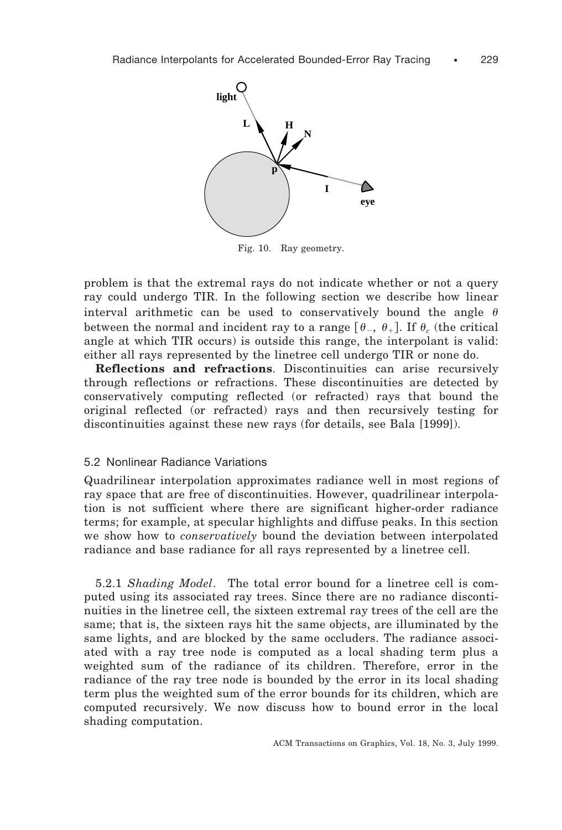

Fig. 10. Ray geometry.

problem is that the extremal rays do not indicate whether or not a query ray could undergo TIR. In the following section we describe how linear interval arithmetic can be used to conservatively bound the angle  $\theta$ between the normal and incident ray to a range  $\lceil \theta_-, \theta_+ \rceil$ . If  $\theta_c$  (the critical angle at which TIR occurs) is outside this range, the interpolant is valid: either all rays represented by the linetree cell undergo TIR or none do.

**Reflections and refractions**. Discontinuities can arise recursively through reflections or refractions. These discontinuities are detected by conservatively computing reflected (or refracted) rays that bound the original reflected (or refracted) rays and then recursively testing for discontinuities against these new rays (for details, see Bala [1999]).

## 5.2 Nonlinear Radiance Variations

Quadrilinear interpolation approximates radiance well in most regions of ray space that are free of discontinuities. However, quadrilinear interpolation is not sufficient where there are significant higher-order radiance terms; for example, at specular highlights and diffuse peaks. In this section we show how to *conservatively* bound the deviation between interpolated radiance and base radiance for all rays represented by a linetree cell.

5.2.1 *Shading Model*. The total error bound for a linetree cell is computed using its associated ray trees. Since there are no radiance discontinuities in the linetree cell, the sixteen extremal ray trees of the cell are the same; that is, the sixteen rays hit the same objects, are illuminated by the same lights, and are blocked by the same occluders. The radiance associated with a ray tree node is computed as a local shading term plus a weighted sum of the radiance of its children. Therefore, error in the radiance of the ray tree node is bounded by the error in its local shading term plus the weighted sum of the error bounds for its children, which are computed recursively. We now discuss how to bound error in the local shading computation.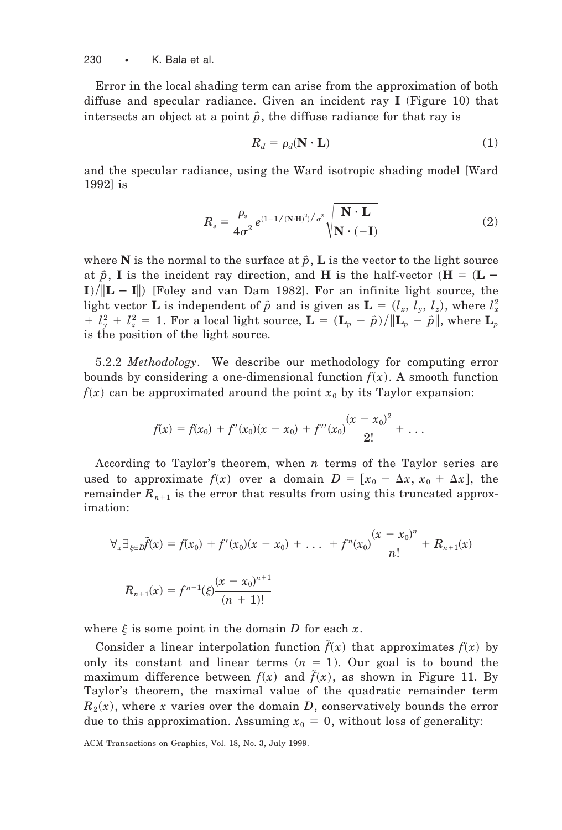Error in the local shading term can arise from the approximation of both diffuse and specular radiance. Given an incident ray **I** (Figure 10) that intersects an object at a point  $\bar{p}$ , the diffuse radiance for that ray is

$$
R_d = \rho_d (\mathbf{N} \cdot \mathbf{L}) \tag{1}
$$

and the specular radiance, using the Ward isotropic shading model [Ward 1992] is

$$
R_s = \frac{\rho_s}{4\sigma^2} e^{(1-1/(N\cdot H)^2)/\sigma^2} \sqrt{\frac{N \cdot L}{N \cdot (-I)}}
$$
(2)

where **N** is the normal to the surface at  $\bar{p}$ , **L** is the vector to the light source at  $\vec{p}$ , **I** is the incident ray direction, and **H** is the half-vector (**H** = (**L** –  $\mathbf{I}/\|\mathbf{L} - \mathbf{I}\|$  [Foley and van Dam 1982]. For an infinite light source, the light vector **L** is independent of  $\vec{p}$  and is given as  $\mathbf{L} = (l_x, l_y, l_z)$ , where  $l_x^2$  $l^2 + l^2 = 1$ . For a local light source,  $\mathbf{L} = (\mathbf{L}_p - \vec{p}) / ||\mathbf{L}_p - \vec{p}||$ , where  $\mathbf{L}_p$ is the position of the light source.

5.2.2 *Methodology*. We describe our methodology for computing error bounds by considering a one-dimensional function  $f(x)$ . A smooth function  $f(x)$  can be approximated around the point  $x<sub>0</sub>$  by its Taylor expansion:

$$
f(x) = f(x_0) + f'(x_0)(x - x_0) + f''(x_0)\frac{(x - x_0)^2}{2!} + \dots
$$

According to Taylor's theorem, when *n* terms of the Taylor series are used to approximate  $f(x)$  over a domain  $D = [x_0 - \Delta x, x_0 + \Delta x]$ , the remainder  $R_{n+1}$  is the error that results from using this truncated approximation:

$$
\forall_{x} \exists_{\xi \in D} \tilde{f}(x) = f(x_0) + f'(x_0)(x - x_0) + \dots + f^{n}(x_0) \frac{(x - x_0)^{n}}{n!} + R_{n+1}(x)
$$

$$
R_{n+1}(x) = f^{n+1}(\xi) \frac{(x - x_0)^{n+1}}{(n+1)!}
$$

where  $\xi$  is some point in the domain *D* for each  $x$ .

Consider a linear interpolation function  $\tilde{f}(x)$  that approximates  $f(x)$  by only its constant and linear terms  $(n = 1)$ . Our goal is to bound the maximum difference between  $f(x)$  and  $\tilde{f}(x)$ , as shown in Figure 11. By Taylor's theorem, the maximal value of the quadratic remainder term  $R<sub>2</sub>(x)$ , where *x* varies over the domain *D*, conservatively bounds the error due to this approximation. Assuming  $x_0 = 0$ , without loss of generality: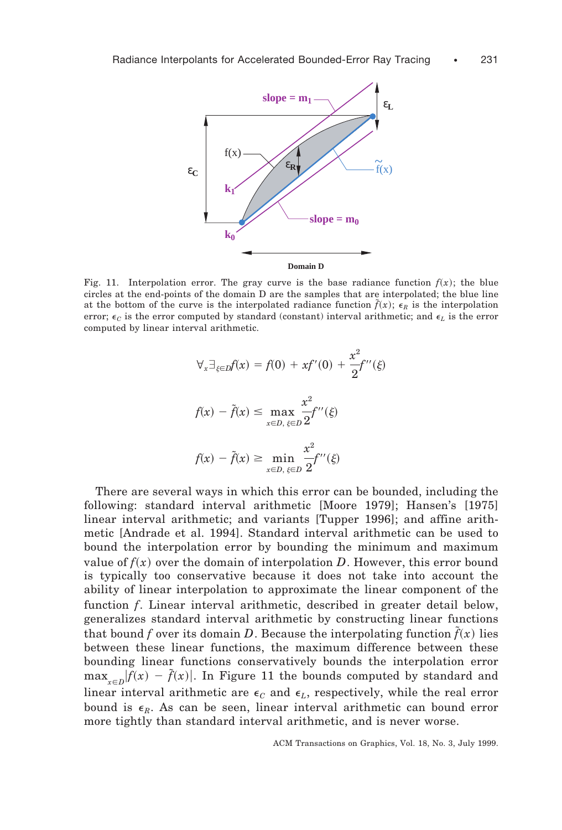

Fig. 11. Interpolation error. The gray curve is the base radiance function  $f(x)$ ; the blue circles at the end-points of the domain D are the samples that are interpolated; the blue line at the bottom of the curve is the interpolated radiance function  $\tilde{f}(x)$ ;  $\epsilon_R$  is the interpolation error;  $\epsilon_C$  is the error computed by standard (constant) interval arithmetic; and  $\epsilon_L$  is the error computed by linear interval arithmetic.

$$
\forall_x \exists_{\xi \in D} f(x) = f(0) + xf'(0) + \frac{x^2}{2}f''(\xi)
$$

$$
f(x) - \tilde{f}(x) \le \max_{x \in D, \xi \in D} \frac{x^2}{2}f''(\xi)
$$

$$
f(x) - \tilde{f}(x) \ge \min_{x \in D, \xi \in D} \frac{x^2}{2}f''(\xi)
$$

There are several ways in which this error can be bounded, including the following: standard interval arithmetic [Moore 1979]; Hansen's [1975] linear interval arithmetic; and variants [Tupper 1996]; and affine arithmetic [Andrade et al. 1994]. Standard interval arithmetic can be used to bound the interpolation error by bounding the minimum and maximum value of  $f(x)$  over the domain of interpolation D. However, this error bound is typically too conservative because it does not take into account the ability of linear interpolation to approximate the linear component of the function *f*. Linear interval arithmetic, described in greater detail below, generalizes standard interval arithmetic by constructing linear functions that bound *f* over its domain *D*. Because the interpolating function  $\tilde{f}(x)$  lies between these linear functions, the maximum difference between these bounding linear functions conservatively bounds the interpolation error  $\max_{x \in D} |\tilde{f}(x) - \tilde{f}(x)|$ . In Figure 11 the bounds computed by standard and linear interval arithmetic are  $\epsilon_c$  and  $\epsilon_L$ , respectively, while the real error bound is  $\epsilon_R$ . As can be seen, linear interval arithmetic can bound error more tightly than standard interval arithmetic, and is never worse.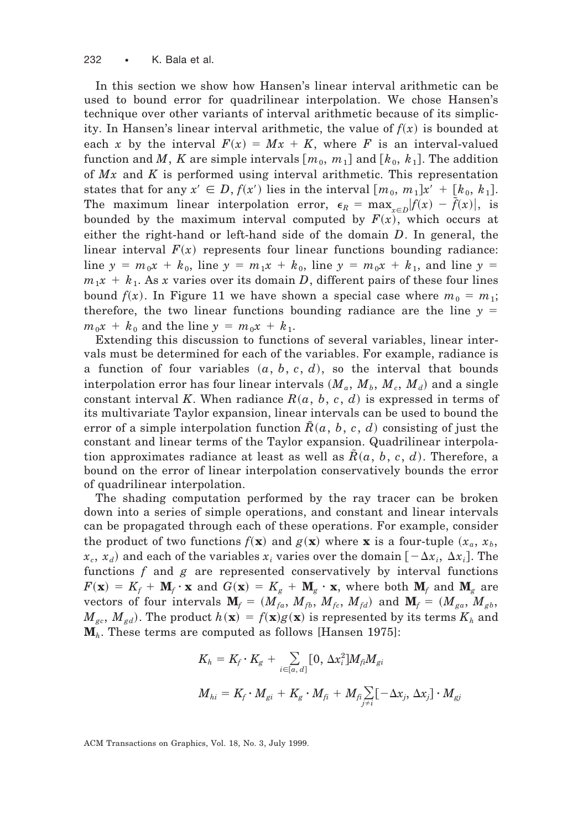In this section we show how Hansen's linear interval arithmetic can be used to bound error for quadrilinear interpolation. We chose Hansen's technique over other variants of interval arithmetic because of its simplicity. In Hansen's linear interval arithmetic, the value of  $f(x)$  is bounded at each x by the interval  $F(x) = Mx + K$ , where F is an interval-valued function and *M*, *K* are simple intervals  $[m_0, m_1]$  and  $[k_0, k_1]$ . The addition of *Mx* and *K* is performed using interval arithmetic. This representation states that for any  $x' \in D$ ,  $f(x')$  lies in the interval  $[m_0, m_1]x' + [k_0, k_1]$ . The maximum linear interpolation error,  $\epsilon_R = \max_{x \in D} |f(x) - \tilde{f}(x)|$ , is bounded by the maximum interval computed by  $F(x)$ , which occurs at either the right-hand or left-hand side of the domain *D*. In general, the linear interval  $F(x)$  represents four linear functions bounding radiance: line  $y = m_0x + k_0$ , line  $y = m_1x + k_0$ , line  $y = m_0x + k_1$ , and line  $y =$  $m_1x + k_1$ . As *x* varies over its domain *D*, different pairs of these four lines bound  $f(x)$ . In Figure 11 we have shown a special case where  $m_0 = m_1$ ; therefore, the two linear functions bounding radiance are the line  $y =$  $m_0x + k_0$  and the line  $y = m_0x + k_1$ .

Extending this discussion to functions of several variables, linear intervals must be determined for each of the variables. For example, radiance is a function of four variables  $(a, b, c, d)$ , so the interval that bounds interpolation error has four linear intervals  $(M_a, M_b, M_c, M_d)$  and a single constant interval *K*. When radiance  $R(a, b, c, d)$  is expressed in terms of its multivariate Taylor expansion, linear intervals can be used to bound the error of a simple interpolation function  $\tilde{R}(a, b, c, d)$  consisting of just the constant and linear terms of the Taylor expansion. Quadrilinear interpolation approximates radiance at least as well as  $R(a, b, c, d)$ . Therefore, a bound on the error of linear interpolation conservatively bounds the error of quadrilinear interpolation.

The shading computation performed by the ray tracer can be broken down into a series of simple operations, and constant and linear intervals can be propagated through each of these operations. For example, consider the product of two functions  $f(\mathbf{x})$  and  $g(\mathbf{x})$  where **x** is a four-tuple  $(x_a, x_b,$  $x_c$ ,  $x_d$ ) and each of the variables  $x_i$  varies over the domain  $[-\Delta x_i, \Delta x_i]$ . The functions *f* and *g* are represented conservatively by interval functions  $F(\mathbf{x}) = K_f + \mathbf{M}_f \cdot \mathbf{x}$  and  $G(\mathbf{x}) = K_g + \mathbf{M}_g \cdot \mathbf{x}$ , where both  $\mathbf{M}_f$  and  $\mathbf{M}_g$  are vectors of four intervals  $\mathbf{M}_f = (M_{fa}, M_{fb}, M_{fc}, M_{fd})$  and  $\mathbf{M}_f = (M_{ga}, M_{gb}, M_{fb}, M_{fb})$  $M_{gc}$ ,  $M_{gd}$ ). The product  $h(\mathbf{x}) = f(\mathbf{x})g(\mathbf{x})$  is represented by its terms  $K_h$  and **M***h*. These terms are computed as follows [Hansen 1975]:

$$
K_h = K_f \cdot K_g + \sum_{i \in [a, d]} [0, \Delta x_i^2] M_{fi} M_{gi}
$$
  

$$
M_{hi} = K_f \cdot M_{gi} + K_g \cdot M_{fi} + M_{fi} \sum_{j \neq i} [-\Delta x_j, \Delta x_j] \cdot M_{gi}
$$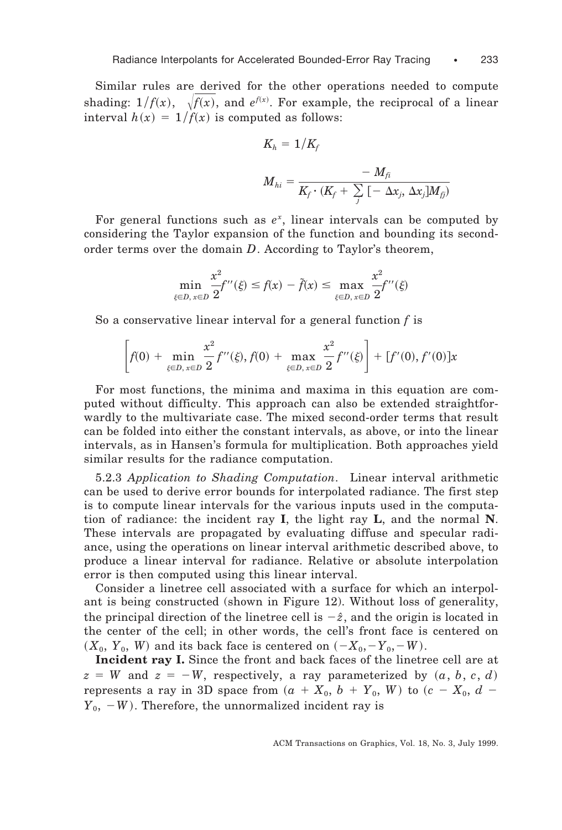Similar rules are derived for the other operations needed to compute shading:  $1/f(x)$ ,  $\sqrt{f(x)}$ , and  $e^{f(x)}$ . For example, the reciprocal of a linear interval  $h(x) = 1 / f(x)$  is computed as follows:

$$
K_{h} = 1/K_{f}
$$
  

$$
M_{hi} = \frac{-M_{fi}}{K_{f} \cdot (K_{f} + \sum_{j} [\frac{-\Delta x_{j}}{\Delta x_{j}}]M_{fj})}
$$

For general functions such as  $e^x$ , linear intervals can be computed by considering the Taylor expansion of the function and bounding its secondorder terms over the domain *D*. According to Taylor's theorem,

$$
\min_{\xi \in D, x \in D} \frac{x^2}{2} f''(\xi) \le f(x) - \tilde{f}(x) \le \max_{\xi \in D, x \in D} \frac{x^2}{2} f''(\xi)
$$

So a conservative linear interval for a general function *f* is

$$
\left[f(0) + \min_{\xi \in D, x \in D} \frac{x^2}{2} f''(\xi), f(0) + \max_{\xi \in D, x \in D} \frac{x^2}{2} f''(\xi)\right] + [f'(0), f'(0)]x
$$

For most functions, the minima and maxima in this equation are computed without difficulty. This approach can also be extended straightforwardly to the multivariate case. The mixed second-order terms that result can be folded into either the constant intervals, as above, or into the linear intervals, as in Hansen's formula for multiplication. Both approaches yield similar results for the radiance computation.

5.2.3 *Application to Shading Computation*. Linear interval arithmetic can be used to derive error bounds for interpolated radiance. The first step is to compute linear intervals for the various inputs used in the computation of radiance: the incident ray **I**, the light ray **L**, and the normal **N**. These intervals are propagated by evaluating diffuse and specular radiance, using the operations on linear interval arithmetic described above, to produce a linear interval for radiance. Relative or absolute interpolation error is then computed using this linear interval.

Consider a linetree cell associated with a surface for which an interpolant is being constructed (shown in Figure 12). Without loss of generality, the principal direction of the linetree cell is  $-\hat{z}$ , and the origin is located in the center of the cell; in other words, the cell's front face is centered on  $(X_0, Y_0, W)$  and its back face is centered on  $(-X_0, -Y_0, -W)$ .

**Incident ray I.** Since the front and back faces of the linetree cell are at  $z = W$  and  $z = -W$ , respectively, a ray parameterized by  $(a, b, c, d)$ represents a ray in 3D space from  $(a + X_0, b + Y_0, W)$  to  $(c - X_0, d Y_0$ ,  $-W$ ). Therefore, the unnormalized incident ray is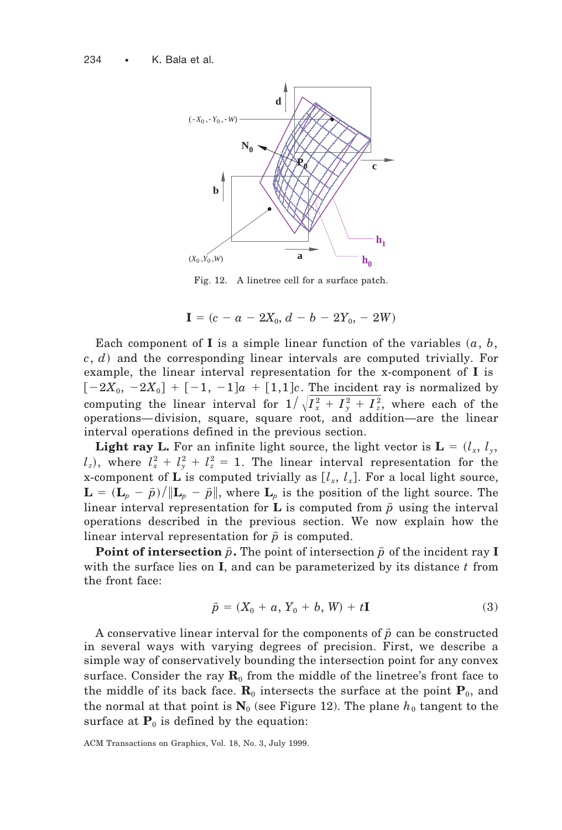

Fig. 12. A linetree cell for a surface patch.

$$
\mathbf{I} = (c - a - 2X_0, d - b - 2Y_0, - 2W)
$$

Each component of **I** is a simple linear function of the variables  $(a, b, c)$ *c*, *d*! and the corresponding linear intervals are computed trivially. For example, the linear interval representation for the x-component of **I** is  $[-2X_0, -2X_0] + [-1, -1]a + [1,1]c$ . The incident ray is normalized by computing the linear interval for  $1/\sqrt{I_x^2 + I_y^2 + I_z^2}$ , where each of the operations—division, square, square root, and addition—are the linear interval operations defined in the previous section.

**Light ray L.** For an infinite light source, the light vector is  $\mathbf{L} = (l_x, l_y, l_y)$  $l_z$ ), where  $l_x^2 + l_y^2 + l_z^2 = 1$ . The linear interval representation for the x-component of **L** is computed trivially as  $[l_x, l_x]$ . For a local light source,  $\mathbf{L} = (\mathbf{L}_p - \vec{p}) / ||\mathbf{L}_p - \vec{p}||$ , where  $\mathbf{L}_p$  is the position of the light source. The linear interval representation for **L** is computed from  $\vec{p}$  using the interval operations described in the previous section. We now explain how the linear interval representation for  $\vec{p}$  is computed.

**Point of intersection**  $\vec{p}$ . The point of intersection  $\vec{p}$  of the incident ray **I** with the surface lies on **I**, and can be parameterized by its distance *t* from the front face:

$$
\bar{p} = (X_0 + a, Y_0 + b, W) + t\mathbf{I}
$$
 (3)

A conservative linear interval for the components of  $\vec{p}$  can be constructed in several ways with varying degrees of precision. First, we describe a simple way of conservatively bounding the intersection point for any convex surface. Consider the ray  $\mathbf{R}_0$  from the middle of the linetree's front face to the middle of its back face.  $\mathbf{R}_0$  intersects the surface at the point  $\mathbf{P}_0$ , and the normal at that point is  $\mathbf{N}_0$  (see Figure 12). The plane  $h_0$  tangent to the surface at  $P_0$  is defined by the equation: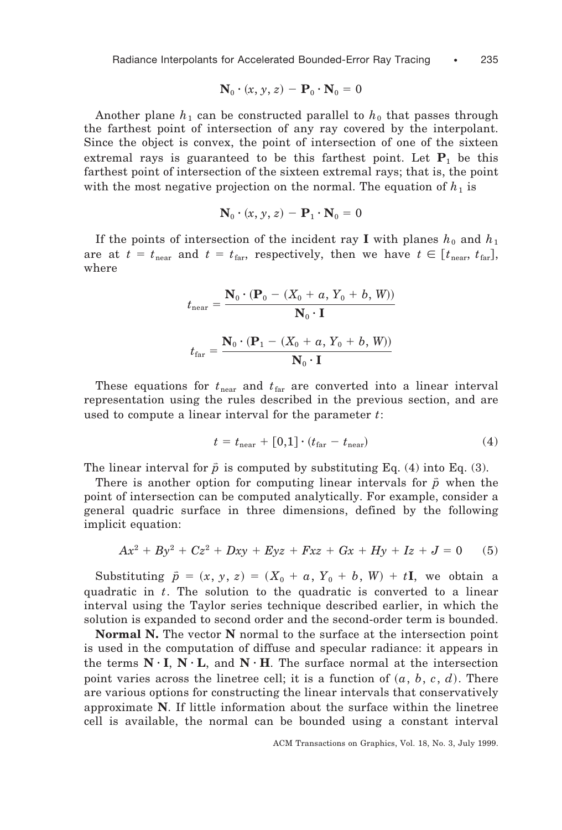Radiance Interpolants for Accelerated Bounded-Error Ray Tracing • 235

$$
\mathbf{N}_0 \cdot (x, y, z) - \mathbf{P}_0 \cdot \mathbf{N}_0 = 0
$$

Another plane  $h_1$  can be constructed parallel to  $h_0$  that passes through the farthest point of intersection of any ray covered by the interpolant. Since the object is convex, the point of intersection of one of the sixteen extremal rays is guaranteed to be this farthest point. Let  $P_1$  be this farthest point of intersection of the sixteen extremal rays; that is, the point with the most negative projection on the normal. The equation of  $h_1$  is

$$
\mathbf{N}_0 \cdot (x, y, z) - \mathbf{P}_1 \cdot \mathbf{N}_0 = 0
$$

If the points of intersection of the incident ray **I** with planes  $h_0$  and  $h_1$ are at  $t = t_{\text{near}}$  and  $t = t_{\text{far}}$ , respectively, then we have  $t \in [t_{\text{near}}, t_{\text{far}}]$ , where

$$
t_{\text{near}} = \frac{\mathbf{N}_0 \cdot (\mathbf{P}_0 - (X_0 + a, Y_0 + b, W))}{\mathbf{N}_0 \cdot \mathbf{I}}
$$

$$
t_{\text{far}} = \frac{\mathbf{N}_0 \cdot (\mathbf{P}_1 - (X_0 + a, Y_0 + b, W))}{\mathbf{N}_0 \cdot \mathbf{I}}
$$

These equations for  $t_{\text{near}}$  and  $t_{\text{far}}$  are converted into a linear interval representation using the rules described in the previous section, and are used to compute a linear interval for the parameter *t*:

$$
t = t_{\text{near}} + [0,1] \cdot (t_{\text{far}} - t_{\text{near}}) \tag{4}
$$

The linear interval for  $\bar{p}$  is computed by substituting Eq. (4) into Eq. (3).

There is another option for computing linear intervals for  $\bar{p}$  when the point of intersection can be computed analytically. For example, consider a general quadric surface in three dimensions, defined by the following implicit equation:

$$
Ax^{2} + By^{2} + Cz^{2} + Dxy + Eyz + Fxz + Gx + Hy + Iz + J = 0
$$
 (5)

Substituting  $\vec{p} = (x, y, z) = (X_0 + a, Y_0 + b, W) + tI$ , we obtain a quadratic in *t*. The solution to the quadratic is converted to a linear interval using the Taylor series technique described earlier, in which the solution is expanded to second order and the second-order term is bounded.

**Normal N.** The vector **N** normal to the surface at the intersection point is used in the computation of diffuse and specular radiance: it appears in the terms  $N \cdot I$ ,  $N \cdot L$ , and  $N \cdot H$ . The surface normal at the intersection point varies across the linetree cell; it is a function of  $(a, b, c, d)$ . There are various options for constructing the linear intervals that conservatively approximate **N**. If little information about the surface within the linetree cell is available, the normal can be bounded using a constant interval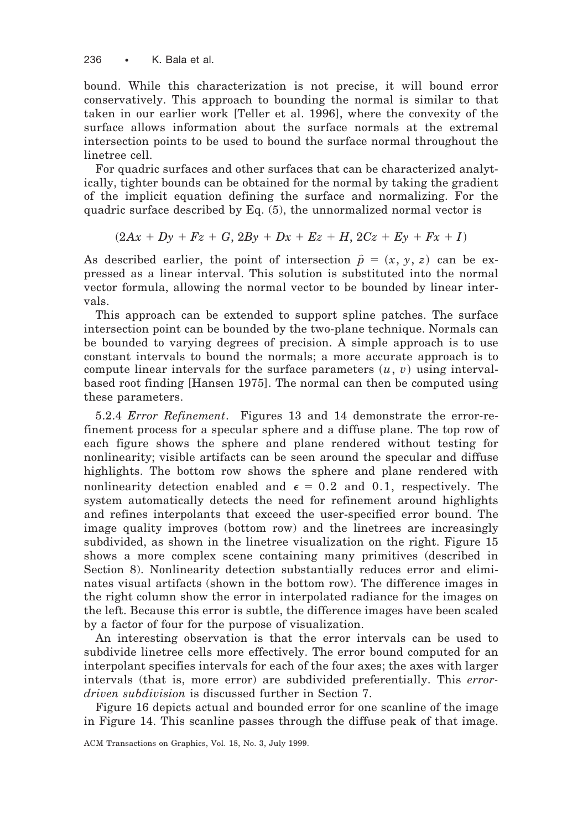bound. While this characterization is not precise, it will bound error conservatively. This approach to bounding the normal is similar to that taken in our earlier work [Teller et al. 1996], where the convexity of the surface allows information about the surface normals at the extremal intersection points to be used to bound the surface normal throughout the linetree cell.

For quadric surfaces and other surfaces that can be characterized analytically, tighter bounds can be obtained for the normal by taking the gradient of the implicit equation defining the surface and normalizing. For the quadric surface described by Eq. (5), the unnormalized normal vector is

$$
(2Ax + Dy + Fz + G, 2By + Dx + Ez + H, 2Cz + Ey + Fx + I)
$$

As described earlier, the point of intersection  $\vec{p}=(x, y, z)$  can be expressed as a linear interval. This solution is substituted into the normal vector formula, allowing the normal vector to be bounded by linear intervals.

This approach can be extended to support spline patches. The surface intersection point can be bounded by the two-plane technique. Normals can be bounded to varying degrees of precision. A simple approach is to use constant intervals to bound the normals; a more accurate approach is to compute linear intervals for the surface parameters  $(u, v)$  using intervalbased root finding [Hansen 1975]. The normal can then be computed using these parameters.

5.2.4 *Error Refinement*. Figures 13 and 14 demonstrate the error-refinement process for a specular sphere and a diffuse plane. The top row of each figure shows the sphere and plane rendered without testing for nonlinearity; visible artifacts can be seen around the specular and diffuse highlights. The bottom row shows the sphere and plane rendered with nonlinearity detection enabled and  $\epsilon = 0.2$  and 0.1, respectively. The system automatically detects the need for refinement around highlights and refines interpolants that exceed the user-specified error bound. The image quality improves (bottom row) and the linetrees are increasingly subdivided, as shown in the linetree visualization on the right. Figure 15 shows a more complex scene containing many primitives (described in Section 8). Nonlinearity detection substantially reduces error and eliminates visual artifacts (shown in the bottom row). The difference images in the right column show the error in interpolated radiance for the images on the left. Because this error is subtle, the difference images have been scaled by a factor of four for the purpose of visualization.

An interesting observation is that the error intervals can be used to subdivide linetree cells more effectively. The error bound computed for an interpolant specifies intervals for each of the four axes; the axes with larger intervals (that is, more error) are subdivided preferentially. This *errordriven subdivision* is discussed further in Section 7.

Figure 16 depicts actual and bounded error for one scanline of the image in Figure 14. This scanline passes through the diffuse peak of that image.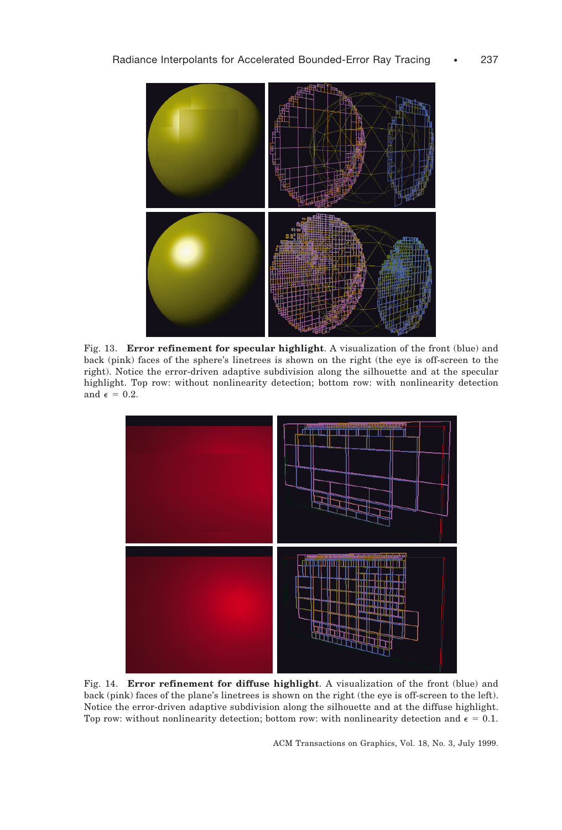

Fig. 13. **Error refinement for specular highlight**. A visualization of the front (blue) and back (pink) faces of the sphere's linetrees is shown on the right (the eye is off-screen to the right). Notice the error-driven adaptive subdivision along the silhouette and at the specular highlight. Top row: without nonlinearity detection; bottom row: with nonlinearity detection and  $\epsilon = 0.2$ .



Fig. 14. **Error refinement for diffuse highlight**. A visualization of the front (blue) and back (pink) faces of the plane's linetrees is shown on the right (the eye is off-screen to the left). Notice the error-driven adaptive subdivision along the silhouette and at the diffuse highlight. Top row: without nonlinearity detection; bottom row: with nonlinearity detection and  $\epsilon = 0.1$ .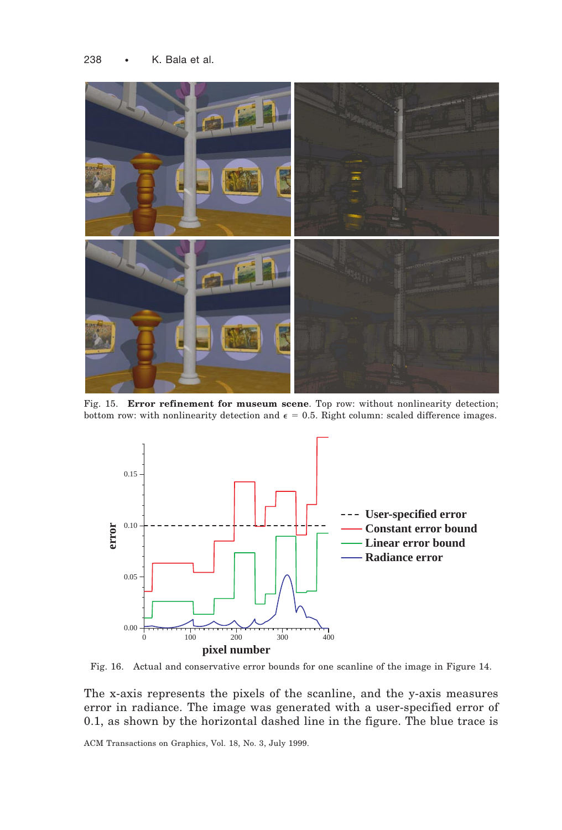

Fig. 15. **Error refinement for museum scene**. Top row: without nonlinearity detection; bottom row: with nonlinearity detection and  $\epsilon = 0.5$ . Right column: scaled difference images.



Fig. 16. Actual and conservative error bounds for one scanline of the image in Figure 14.

The x-axis represents the pixels of the scanline, and the y-axis measures error in radiance. The image was generated with a user-specified error of 0.1, as shown by the horizontal dashed line in the figure. The blue trace is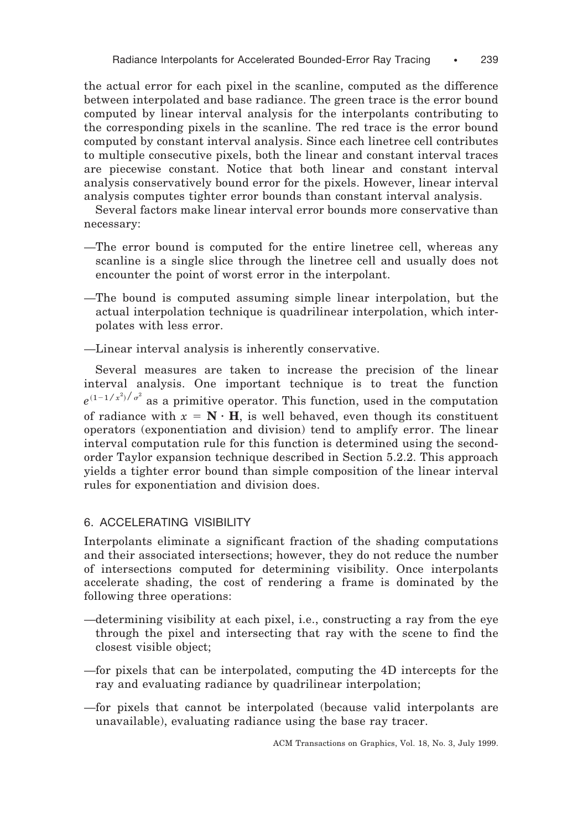the actual error for each pixel in the scanline, computed as the difference between interpolated and base radiance. The green trace is the error bound computed by linear interval analysis for the interpolants contributing to the corresponding pixels in the scanline. The red trace is the error bound computed by constant interval analysis. Since each linetree cell contributes to multiple consecutive pixels, both the linear and constant interval traces are piecewise constant. Notice that both linear and constant interval analysis conservatively bound error for the pixels. However, linear interval analysis computes tighter error bounds than constant interval analysis.

Several factors make linear interval error bounds more conservative than necessary:

- —The error bound is computed for the entire linetree cell, whereas any scanline is a single slice through the linetree cell and usually does not encounter the point of worst error in the interpolant.
- —The bound is computed assuming simple linear interpolation, but the actual interpolation technique is quadrilinear interpolation, which interpolates with less error.
- —Linear interval analysis is inherently conservative.

Several measures are taken to increase the precision of the linear interval analysis. One important technique is to treat the function  $e^{(1-1/x^2)/\sigma^2}$  as a primitive operator. This function, used in the computation of radiance with  $x = \mathbf{N} \cdot \mathbf{H}$ , is well behaved, even though its constituent operators (exponentiation and division) tend to amplify error. The linear interval computation rule for this function is determined using the secondorder Taylor expansion technique described in Section 5.2.2. This approach yields a tighter error bound than simple composition of the linear interval rules for exponentiation and division does.

# 6. ACCELERATING VISIBILITY

Interpolants eliminate a significant fraction of the shading computations and their associated intersections; however, they do not reduce the number of intersections computed for determining visibility. Once interpolants accelerate shading, the cost of rendering a frame is dominated by the following three operations:

- —determining visibility at each pixel, i.e., constructing a ray from the eye through the pixel and intersecting that ray with the scene to find the closest visible object;
- —for pixels that can be interpolated, computing the 4D intercepts for the ray and evaluating radiance by quadrilinear interpolation;
- —for pixels that cannot be interpolated (because valid interpolants are unavailable), evaluating radiance using the base ray tracer.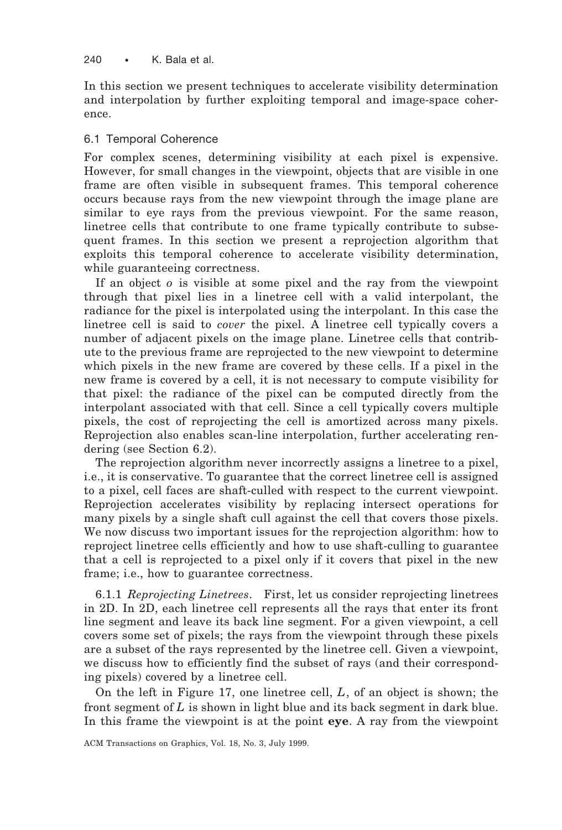In this section we present techniques to accelerate visibility determination and interpolation by further exploiting temporal and image-space coherence.

## 6.1 Temporal Coherence

For complex scenes, determining visibility at each pixel is expensive. However, for small changes in the viewpoint, objects that are visible in one frame are often visible in subsequent frames. This temporal coherence occurs because rays from the new viewpoint through the image plane are similar to eye rays from the previous viewpoint. For the same reason, linetree cells that contribute to one frame typically contribute to subsequent frames. In this section we present a reprojection algorithm that exploits this temporal coherence to accelerate visibility determination, while guaranteeing correctness.

If an object *o* is visible at some pixel and the ray from the viewpoint through that pixel lies in a linetree cell with a valid interpolant, the radiance for the pixel is interpolated using the interpolant. In this case the linetree cell is said to *cover* the pixel. A linetree cell typically covers a number of adjacent pixels on the image plane. Linetree cells that contribute to the previous frame are reprojected to the new viewpoint to determine which pixels in the new frame are covered by these cells. If a pixel in the new frame is covered by a cell, it is not necessary to compute visibility for that pixel: the radiance of the pixel can be computed directly from the interpolant associated with that cell. Since a cell typically covers multiple pixels, the cost of reprojecting the cell is amortized across many pixels. Reprojection also enables scan-line interpolation, further accelerating rendering (see Section 6.2).

The reprojection algorithm never incorrectly assigns a linetree to a pixel, i.e., it is conservative. To guarantee that the correct linetree cell is assigned to a pixel, cell faces are shaft-culled with respect to the current viewpoint. Reprojection accelerates visibility by replacing intersect operations for many pixels by a single shaft cull against the cell that covers those pixels. We now discuss two important issues for the reprojection algorithm: how to reproject linetree cells efficiently and how to use shaft-culling to guarantee that a cell is reprojected to a pixel only if it covers that pixel in the new frame; i.e., how to guarantee correctness.

6.1.1 *Reprojecting Linetrees*. First, let us consider reprojecting linetrees in 2D. In 2D, each linetree cell represents all the rays that enter its front line segment and leave its back line segment. For a given viewpoint, a cell covers some set of pixels; the rays from the viewpoint through these pixels are a subset of the rays represented by the linetree cell. Given a viewpoint, we discuss how to efficiently find the subset of rays (and their corresponding pixels) covered by a linetree cell.

On the left in Figure 17, one linetree cell, *L*, of an object is shown; the front segment of *L* is shown in light blue and its back segment in dark blue. In this frame the viewpoint is at the point **eye**. A ray from the viewpoint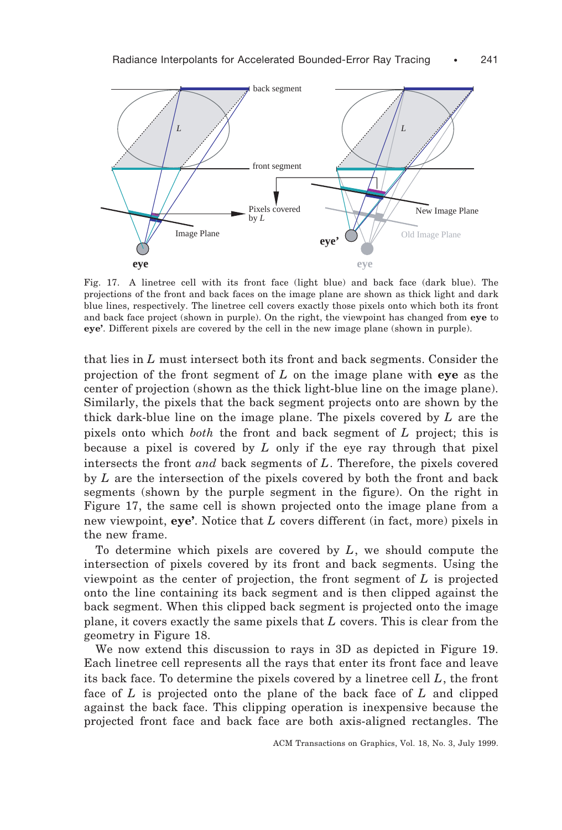

Fig. 17. A linetree cell with its front face (light blue) and back face (dark blue). The projections of the front and back faces on the image plane are shown as thick light and dark blue lines, respectively. The linetree cell covers exactly those pixels onto which both its front and back face project (shown in purple). On the right, the viewpoint has changed from **eye** to **eye'**. Different pixels are covered by the cell in the new image plane (shown in purple).

that lies in *L* must intersect both its front and back segments. Consider the projection of the front segment of *L* on the image plane with **eye** as the center of projection (shown as the thick light-blue line on the image plane). Similarly, the pixels that the back segment projects onto are shown by the thick dark-blue line on the image plane. The pixels covered by *L* are the pixels onto which *both* the front and back segment of *L* project; this is because a pixel is covered by *L* only if the eye ray through that pixel intersects the front *and* back segments of *L*. Therefore, the pixels covered by *L* are the intersection of the pixels covered by both the front and back segments (shown by the purple segment in the figure). On the right in Figure 17, the same cell is shown projected onto the image plane from a new viewpoint, **eye'**. Notice that *L* covers different (in fact, more) pixels in the new frame.

To determine which pixels are covered by *L*, we should compute the intersection of pixels covered by its front and back segments. Using the viewpoint as the center of projection, the front segment of *L* is projected onto the line containing its back segment and is then clipped against the back segment. When this clipped back segment is projected onto the image plane, it covers exactly the same pixels that *L* covers. This is clear from the geometry in Figure 18.

We now extend this discussion to rays in 3D as depicted in Figure 19. Each linetree cell represents all the rays that enter its front face and leave its back face. To determine the pixels covered by a linetree cell *L*, the front face of *L* is projected onto the plane of the back face of *L* and clipped against the back face. This clipping operation is inexpensive because the projected front face and back face are both axis-aligned rectangles. The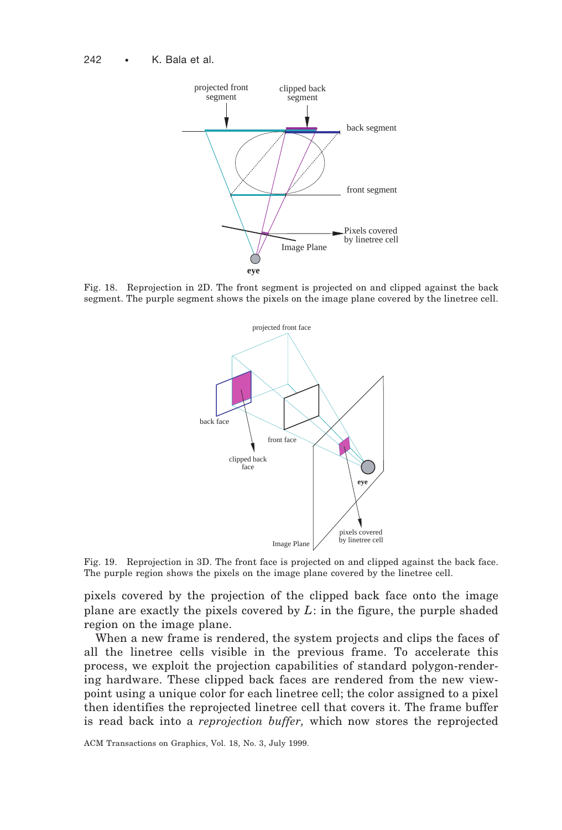

Fig. 18. Reprojection in 2D. The front segment is projected on and clipped against the back segment. The purple segment shows the pixels on the image plane covered by the linetree cell.



Fig. 19. Reprojection in 3D. The front face is projected on and clipped against the back face. The purple region shows the pixels on the image plane covered by the linetree cell.

pixels covered by the projection of the clipped back face onto the image plane are exactly the pixels covered by *L*: in the figure, the purple shaded region on the image plane.

When a new frame is rendered, the system projects and clips the faces of all the linetree cells visible in the previous frame. To accelerate this process, we exploit the projection capabilities of standard polygon-rendering hardware. These clipped back faces are rendered from the new viewpoint using a unique color for each linetree cell; the color assigned to a pixel then identifies the reprojected linetree cell that covers it. The frame buffer is read back into a *reprojection buffer,* which now stores the reprojected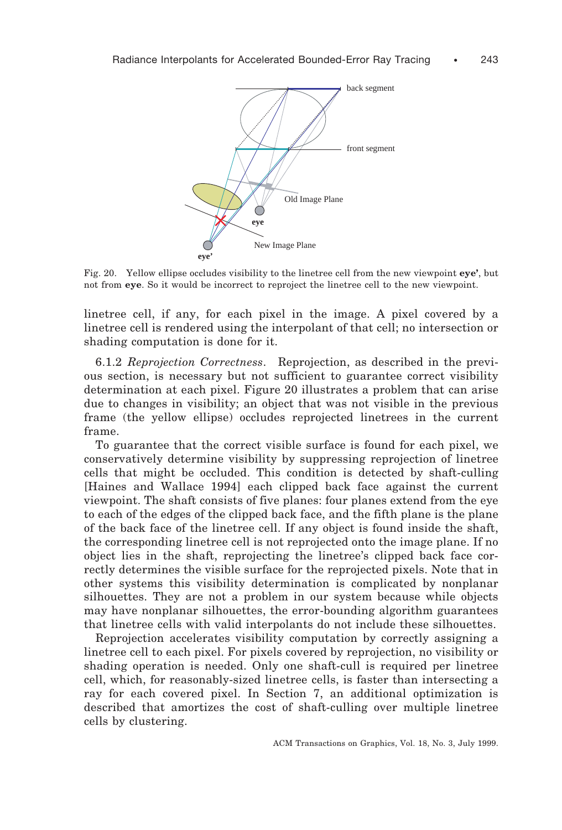

Fig. 20. Yellow ellipse occludes visibility to the linetree cell from the new viewpoint **eye'**, but not from **eye**. So it would be incorrect to reproject the linetree cell to the new viewpoint.

linetree cell, if any, for each pixel in the image. A pixel covered by a linetree cell is rendered using the interpolant of that cell; no intersection or shading computation is done for it.

6.1.2 *Reprojection Correctness*. Reprojection, as described in the previous section, is necessary but not sufficient to guarantee correct visibility determination at each pixel. Figure 20 illustrates a problem that can arise due to changes in visibility; an object that was not visible in the previous frame (the yellow ellipse) occludes reprojected linetrees in the current frame.

To guarantee that the correct visible surface is found for each pixel, we conservatively determine visibility by suppressing reprojection of linetree cells that might be occluded. This condition is detected by shaft-culling [Haines and Wallace 1994] each clipped back face against the current viewpoint. The shaft consists of five planes: four planes extend from the eye to each of the edges of the clipped back face, and the fifth plane is the plane of the back face of the linetree cell. If any object is found inside the shaft, the corresponding linetree cell is not reprojected onto the image plane. If no object lies in the shaft, reprojecting the linetree's clipped back face correctly determines the visible surface for the reprojected pixels. Note that in other systems this visibility determination is complicated by nonplanar silhouettes. They are not a problem in our system because while objects may have nonplanar silhouettes, the error-bounding algorithm guarantees that linetree cells with valid interpolants do not include these silhouettes.

Reprojection accelerates visibility computation by correctly assigning a linetree cell to each pixel. For pixels covered by reprojection, no visibility or shading operation is needed. Only one shaft-cull is required per linetree cell, which, for reasonably-sized linetree cells, is faster than intersecting a ray for each covered pixel. In Section 7, an additional optimization is described that amortizes the cost of shaft-culling over multiple linetree cells by clustering.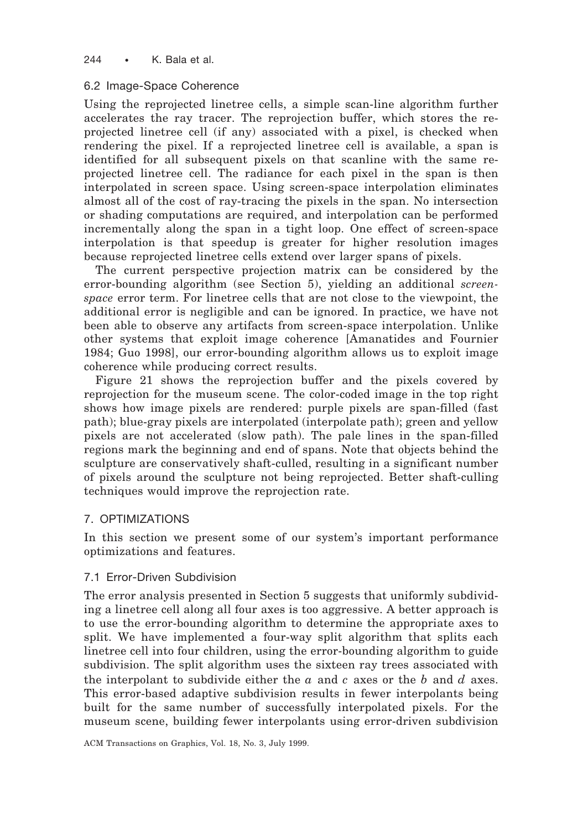## 6.2 Image-Space Coherence

Using the reprojected linetree cells, a simple scan-line algorithm further accelerates the ray tracer. The reprojection buffer, which stores the reprojected linetree cell (if any) associated with a pixel, is checked when rendering the pixel. If a reprojected linetree cell is available, a span is identified for all subsequent pixels on that scanline with the same reprojected linetree cell. The radiance for each pixel in the span is then interpolated in screen space. Using screen-space interpolation eliminates almost all of the cost of ray-tracing the pixels in the span. No intersection or shading computations are required, and interpolation can be performed incrementally along the span in a tight loop. One effect of screen-space interpolation is that speedup is greater for higher resolution images because reprojected linetree cells extend over larger spans of pixels.

The current perspective projection matrix can be considered by the error-bounding algorithm (see Section 5), yielding an additional *screenspace* error term. For linetree cells that are not close to the viewpoint, the additional error is negligible and can be ignored. In practice, we have not been able to observe any artifacts from screen-space interpolation. Unlike other systems that exploit image coherence [Amanatides and Fournier 1984; Guo 1998], our error-bounding algorithm allows us to exploit image coherence while producing correct results.

Figure 21 shows the reprojection buffer and the pixels covered by reprojection for the museum scene. The color-coded image in the top right shows how image pixels are rendered: purple pixels are span-filled (fast path); blue-gray pixels are interpolated (interpolate path); green and yellow pixels are not accelerated (slow path). The pale lines in the span-filled regions mark the beginning and end of spans. Note that objects behind the sculpture are conservatively shaft-culled, resulting in a significant number of pixels around the sculpture not being reprojected. Better shaft-culling techniques would improve the reprojection rate.

## 7. OPTIMIZATIONS

In this section we present some of our system's important performance optimizations and features.

## 7.1 Error-Driven Subdivision

The error analysis presented in Section 5 suggests that uniformly subdividing a linetree cell along all four axes is too aggressive. A better approach is to use the error-bounding algorithm to determine the appropriate axes to split. We have implemented a four-way split algorithm that splits each linetree cell into four children, using the error-bounding algorithm to guide subdivision. The split algorithm uses the sixteen ray trees associated with the interpolant to subdivide either the *a* and *c* axes or the *b* and *d* axes. This error-based adaptive subdivision results in fewer interpolants being built for the same number of successfully interpolated pixels. For the museum scene, building fewer interpolants using error-driven subdivision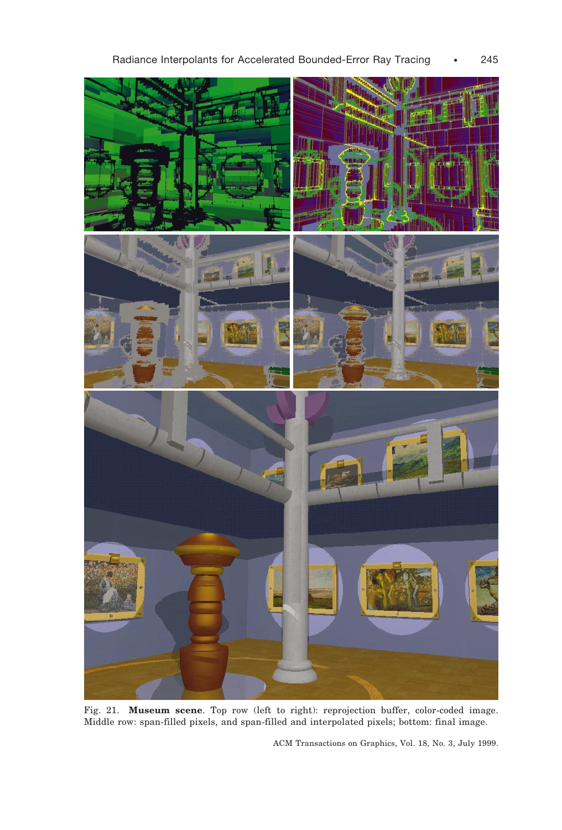

Fig. 21. **Museum scene**. Top row (left to right): reprojection buffer, color-coded image. Middle row: span-filled pixels, and span-filled and interpolated pixels; bottom: final image.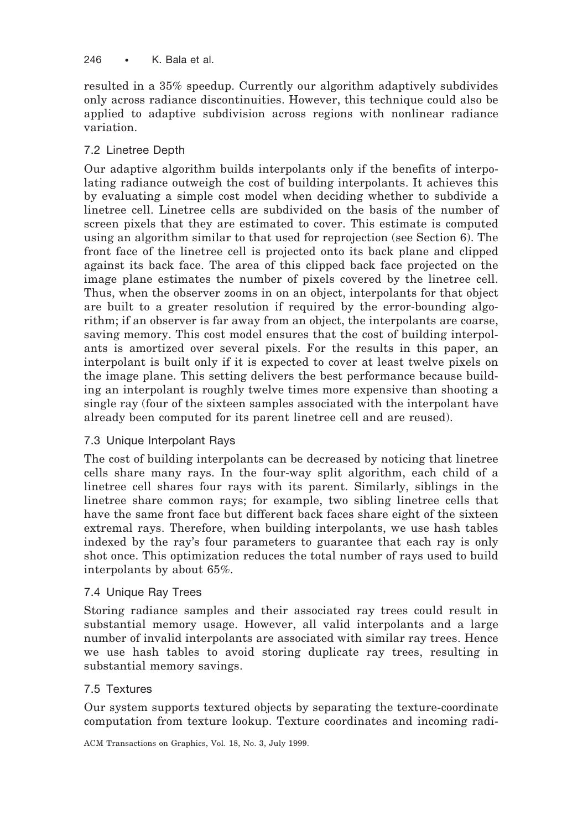resulted in a 35% speedup. Currently our algorithm adaptively subdivides only across radiance discontinuities. However, this technique could also be applied to adaptive subdivision across regions with nonlinear radiance variation.

# 7.2 Linetree Depth

Our adaptive algorithm builds interpolants only if the benefits of interpolating radiance outweigh the cost of building interpolants. It achieves this by evaluating a simple cost model when deciding whether to subdivide a linetree cell. Linetree cells are subdivided on the basis of the number of screen pixels that they are estimated to cover. This estimate is computed using an algorithm similar to that used for reprojection (see Section 6). The front face of the linetree cell is projected onto its back plane and clipped against its back face. The area of this clipped back face projected on the image plane estimates the number of pixels covered by the linetree cell. Thus, when the observer zooms in on an object, interpolants for that object are built to a greater resolution if required by the error-bounding algorithm; if an observer is far away from an object, the interpolants are coarse, saving memory. This cost model ensures that the cost of building interpolants is amortized over several pixels. For the results in this paper, an interpolant is built only if it is expected to cover at least twelve pixels on the image plane. This setting delivers the best performance because building an interpolant is roughly twelve times more expensive than shooting a single ray (four of the sixteen samples associated with the interpolant have already been computed for its parent linetree cell and are reused).

# 7.3 Unique Interpolant Rays

The cost of building interpolants can be decreased by noticing that linetree cells share many rays. In the four-way split algorithm, each child of a linetree cell shares four rays with its parent. Similarly, siblings in the linetree share common rays; for example, two sibling linetree cells that have the same front face but different back faces share eight of the sixteen extremal rays. Therefore, when building interpolants, we use hash tables indexed by the ray's four parameters to guarantee that each ray is only shot once. This optimization reduces the total number of rays used to build interpolants by about 65%.

# 7.4 Unique Ray Trees

Storing radiance samples and their associated ray trees could result in substantial memory usage. However, all valid interpolants and a large number of invalid interpolants are associated with similar ray trees. Hence we use hash tables to avoid storing duplicate ray trees, resulting in substantial memory savings.

# 7.5 Textures

Our system supports textured objects by separating the texture-coordinate computation from texture lookup. Texture coordinates and incoming radi-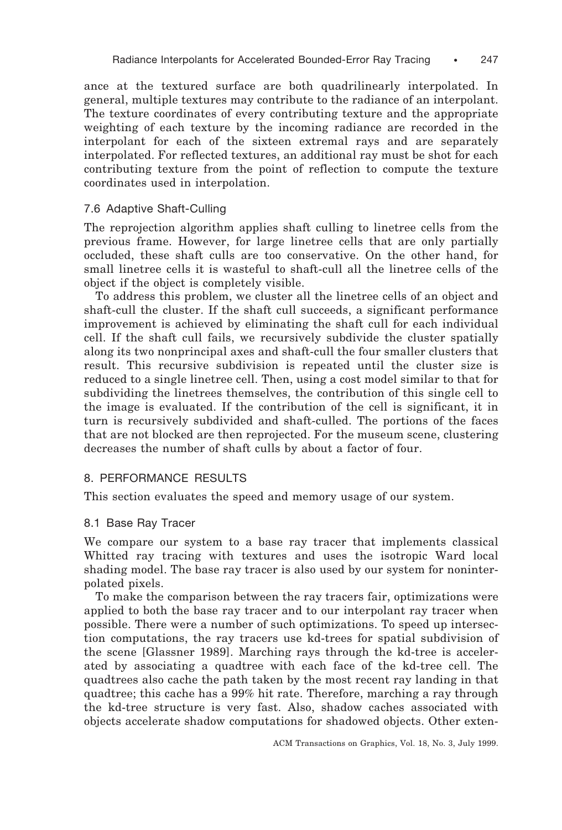ance at the textured surface are both quadrilinearly interpolated. In general, multiple textures may contribute to the radiance of an interpolant. The texture coordinates of every contributing texture and the appropriate weighting of each texture by the incoming radiance are recorded in the interpolant for each of the sixteen extremal rays and are separately interpolated. For reflected textures, an additional ray must be shot for each contributing texture from the point of reflection to compute the texture coordinates used in interpolation.

## 7.6 Adaptive Shaft-Culling

The reprojection algorithm applies shaft culling to linetree cells from the previous frame. However, for large linetree cells that are only partially occluded, these shaft culls are too conservative. On the other hand, for small linetree cells it is wasteful to shaft-cull all the linetree cells of the object if the object is completely visible.

To address this problem, we cluster all the linetree cells of an object and shaft-cull the cluster. If the shaft cull succeeds, a significant performance improvement is achieved by eliminating the shaft cull for each individual cell. If the shaft cull fails, we recursively subdivide the cluster spatially along its two nonprincipal axes and shaft-cull the four smaller clusters that result. This recursive subdivision is repeated until the cluster size is reduced to a single linetree cell. Then, using a cost model similar to that for subdividing the linetrees themselves, the contribution of this single cell to the image is evaluated. If the contribution of the cell is significant, it in turn is recursively subdivided and shaft-culled. The portions of the faces that are not blocked are then reprojected. For the museum scene, clustering decreases the number of shaft culls by about a factor of four.

## 8. PERFORMANCE RESULTS

This section evaluates the speed and memory usage of our system.

#### 8.1 Base Ray Tracer

We compare our system to a base ray tracer that implements classical Whitted ray tracing with textures and uses the isotropic Ward local shading model. The base ray tracer is also used by our system for noninterpolated pixels.

To make the comparison between the ray tracers fair, optimizations were applied to both the base ray tracer and to our interpolant ray tracer when possible. There were a number of such optimizations. To speed up intersection computations, the ray tracers use kd-trees for spatial subdivision of the scene [Glassner 1989]. Marching rays through the kd-tree is accelerated by associating a quadtree with each face of the kd-tree cell. The quadtrees also cache the path taken by the most recent ray landing in that quadtree; this cache has a 99% hit rate. Therefore, marching a ray through the kd-tree structure is very fast. Also, shadow caches associated with objects accelerate shadow computations for shadowed objects. Other exten-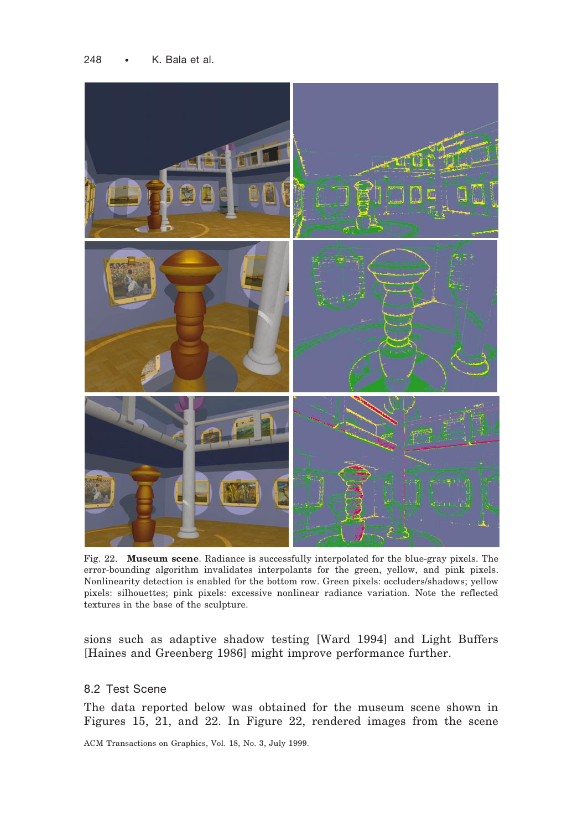

Fig. 22. **Museum scene**. Radiance is successfully interpolated for the blue-gray pixels. The error-bounding algorithm invalidates interpolants for the green, yellow, and pink pixels. Nonlinearity detection is enabled for the bottom row. Green pixels: occluders/shadows; yellow pixels: silhouettes; pink pixels: excessive nonlinear radiance variation. Note the reflected textures in the base of the sculpture.

sions such as adaptive shadow testing [Ward 1994] and Light Buffers [Haines and Greenberg 1986] might improve performance further.

## 8.2 Test Scene

The data reported below was obtained for the museum scene shown in Figures 15, 21, and 22. In Figure 22, rendered images from the scene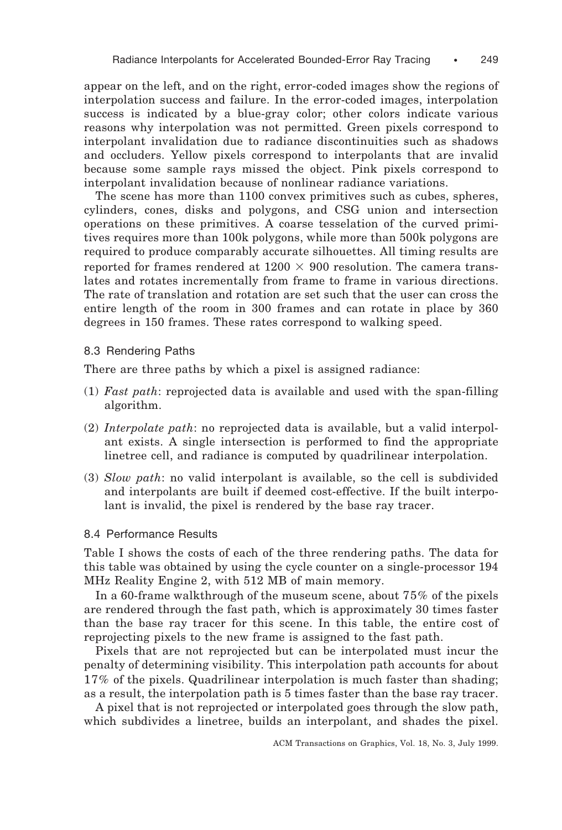appear on the left, and on the right, error-coded images show the regions of interpolation success and failure. In the error-coded images, interpolation success is indicated by a blue-gray color; other colors indicate various reasons why interpolation was not permitted. Green pixels correspond to interpolant invalidation due to radiance discontinuities such as shadows and occluders. Yellow pixels correspond to interpolants that are invalid because some sample rays missed the object. Pink pixels correspond to interpolant invalidation because of nonlinear radiance variations.

The scene has more than 1100 convex primitives such as cubes, spheres, cylinders, cones, disks and polygons, and CSG union and intersection operations on these primitives. A coarse tesselation of the curved primitives requires more than 100k polygons, while more than 500k polygons are required to produce comparably accurate silhouettes. All timing results are reported for frames rendered at  $1200 \times 900$  resolution. The camera translates and rotates incrementally from frame to frame in various directions. The rate of translation and rotation are set such that the user can cross the entire length of the room in 300 frames and can rotate in place by 360 degrees in 150 frames. These rates correspond to walking speed.

## 8.3 Rendering Paths

There are three paths by which a pixel is assigned radiance:

- (1) *Fast path*: reprojected data is available and used with the span-filling algorithm.
- (2) *Interpolate path*: no reprojected data is available, but a valid interpolant exists. A single intersection is performed to find the appropriate linetree cell, and radiance is computed by quadrilinear interpolation.
- (3) *Slow path*: no valid interpolant is available, so the cell is subdivided and interpolants are built if deemed cost-effective. If the built interpolant is invalid, the pixel is rendered by the base ray tracer.

#### 8.4 Performance Results

Table I shows the costs of each of the three rendering paths. The data for this table was obtained by using the cycle counter on a single-processor 194 MHz Reality Engine 2, with 512 MB of main memory.

In a 60-frame walkthrough of the museum scene, about 75% of the pixels are rendered through the fast path, which is approximately 30 times faster than the base ray tracer for this scene. In this table, the entire cost of reprojecting pixels to the new frame is assigned to the fast path.

Pixels that are not reprojected but can be interpolated must incur the penalty of determining visibility. This interpolation path accounts for about 17% of the pixels. Quadrilinear interpolation is much faster than shading; as a result, the interpolation path is 5 times faster than the base ray tracer.

A pixel that is not reprojected or interpolated goes through the slow path, which subdivides a linetree, builds an interpolant, and shades the pixel.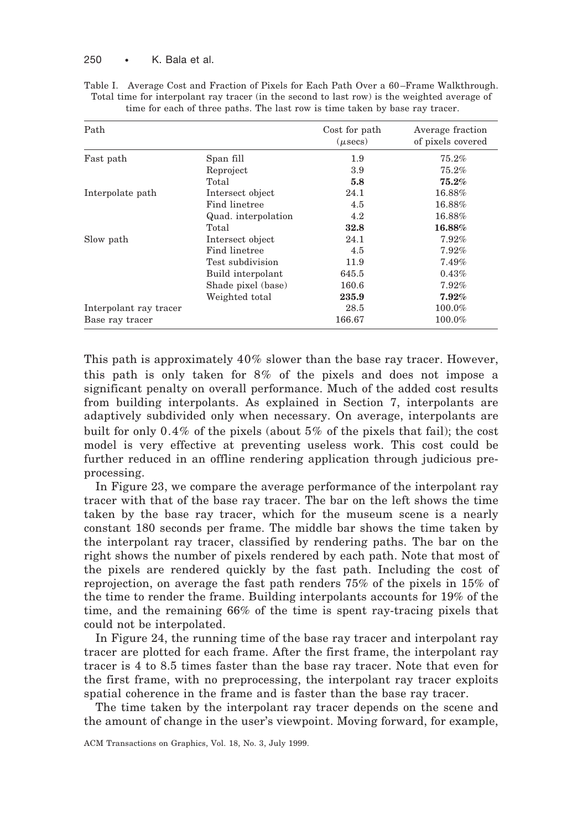Table I. Average Cost and Fraction of Pixels for Each Path Over a 60–Frame Walkthrough. Total time for interpolant ray tracer (in the second to last row) is the weighted average of time for each of three paths. The last row is time taken by base ray tracer.

| Path                   |                     | Cost for path<br>$(\mu$ secs) | Average fraction<br>of pixels covered |
|------------------------|---------------------|-------------------------------|---------------------------------------|
| Fast path              | Span fill           | 1.9                           | 75.2%                                 |
|                        | Reproject           | 3.9                           | $75.2\%$                              |
|                        | Total               | 5.8                           | 75.2%                                 |
| Interpolate path       | Intersect object    | 24.1                          | 16.88%                                |
|                        | Find linetree       | 4.5                           | 16.88%                                |
|                        | Quad. interpolation | 4.2                           | 16.88%                                |
|                        | Total               | 32.8                          | $16.88\%$                             |
| Slow path              | Intersect object    | 24.1                          | 7.92%                                 |
|                        | Find linetree       | 4.5                           | 7.92%                                 |
|                        | Test subdivision    | 11.9                          | 7.49%                                 |
|                        | Build interpolant   | 645.5                         | 0.43%                                 |
|                        | Shade pixel (base)  | 160.6                         | 7.92%                                 |
|                        | Weighted total      | 235.9                         | $7.92\%$                              |
| Interpolant ray tracer |                     | 28.5                          | 100.0%                                |
| Base ray tracer        |                     | 166.67                        | 100.0%                                |

This path is approximately 40% slower than the base ray tracer. However, this path is only taken for 8% of the pixels and does not impose a significant penalty on overall performance. Much of the added cost results from building interpolants. As explained in Section 7, interpolants are adaptively subdivided only when necessary. On average, interpolants are built for only  $0.4\%$  of the pixels (about 5% of the pixels that fail); the cost model is very effective at preventing useless work. This cost could be further reduced in an offline rendering application through judicious preprocessing.

In Figure 23, we compare the average performance of the interpolant ray tracer with that of the base ray tracer. The bar on the left shows the time taken by the base ray tracer, which for the museum scene is a nearly constant 180 seconds per frame. The middle bar shows the time taken by the interpolant ray tracer, classified by rendering paths. The bar on the right shows the number of pixels rendered by each path. Note that most of the pixels are rendered quickly by the fast path. Including the cost of reprojection, on average the fast path renders 75% of the pixels in 15% of the time to render the frame. Building interpolants accounts for 19% of the time, and the remaining 66% of the time is spent ray-tracing pixels that could not be interpolated.

In Figure 24, the running time of the base ray tracer and interpolant ray tracer are plotted for each frame. After the first frame, the interpolant ray tracer is 4 to 8.5 times faster than the base ray tracer. Note that even for the first frame, with no preprocessing, the interpolant ray tracer exploits spatial coherence in the frame and is faster than the base ray tracer.

The time taken by the interpolant ray tracer depends on the scene and the amount of change in the user's viewpoint. Moving forward, for example,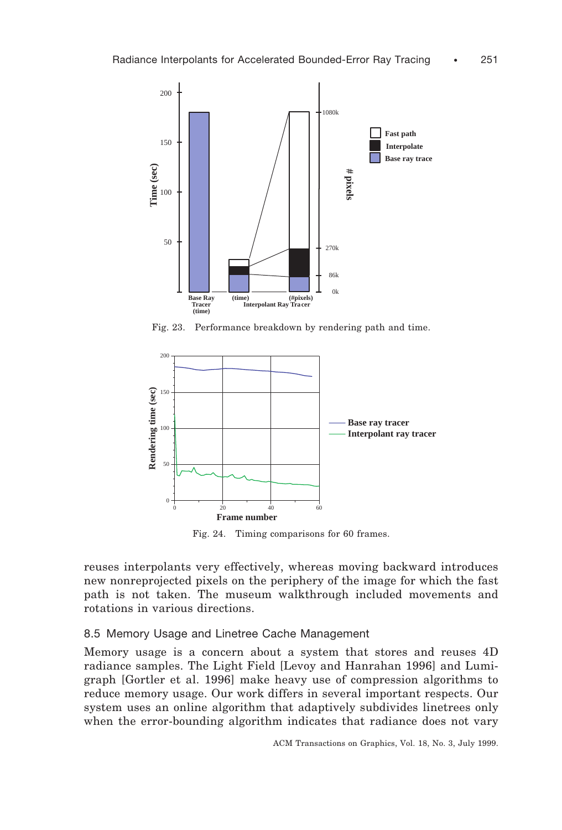

Fig. 23. Performance breakdown by rendering path and time.



Fig. 24. Timing comparisons for 60 frames.

reuses interpolants very effectively, whereas moving backward introduces new nonreprojected pixels on the periphery of the image for which the fast path is not taken. The museum walkthrough included movements and rotations in various directions.

### 8.5 Memory Usage and Linetree Cache Management

Memory usage is a concern about a system that stores and reuses 4D radiance samples. The Light Field [Levoy and Hanrahan 1996] and Lumigraph [Gortler et al. 1996] make heavy use of compression algorithms to reduce memory usage. Our work differs in several important respects. Our system uses an online algorithm that adaptively subdivides linetrees only when the error-bounding algorithm indicates that radiance does not vary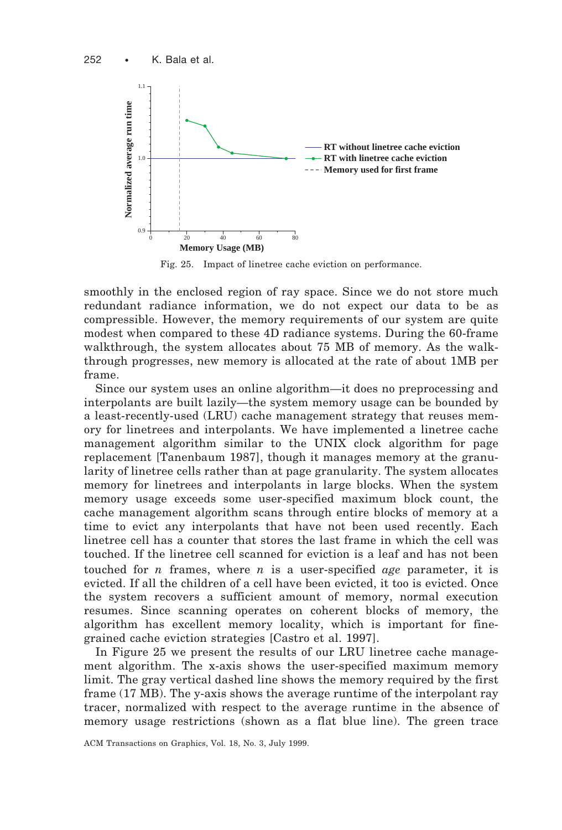

Fig. 25. Impact of linetree cache eviction on performance.

smoothly in the enclosed region of ray space. Since we do not store much redundant radiance information, we do not expect our data to be as compressible. However, the memory requirements of our system are quite modest when compared to these 4D radiance systems. During the 60-frame walkthrough, the system allocates about 75 MB of memory. As the walkthrough progresses, new memory is allocated at the rate of about 1MB per frame.

Since our system uses an online algorithm—it does no preprocessing and interpolants are built lazily—the system memory usage can be bounded by a least-recently-used (LRU) cache management strategy that reuses memory for linetrees and interpolants. We have implemented a linetree cache management algorithm similar to the UNIX clock algorithm for page replacement [Tanenbaum 1987], though it manages memory at the granularity of linetree cells rather than at page granularity. The system allocates memory for linetrees and interpolants in large blocks. When the system memory usage exceeds some user-specified maximum block count, the cache management algorithm scans through entire blocks of memory at a time to evict any interpolants that have not been used recently. Each linetree cell has a counter that stores the last frame in which the cell was touched. If the linetree cell scanned for eviction is a leaf and has not been touched for *n* frames, where *n* is a user-specified *age* parameter, it is evicted. If all the children of a cell have been evicted, it too is evicted. Once the system recovers a sufficient amount of memory, normal execution resumes. Since scanning operates on coherent blocks of memory, the algorithm has excellent memory locality, which is important for finegrained cache eviction strategies [Castro et al. 1997].

In Figure 25 we present the results of our LRU linetree cache management algorithm. The x-axis shows the user-specified maximum memory limit. The gray vertical dashed line shows the memory required by the first frame (17 MB). The y-axis shows the average runtime of the interpolant ray tracer, normalized with respect to the average runtime in the absence of memory usage restrictions (shown as a flat blue line). The green trace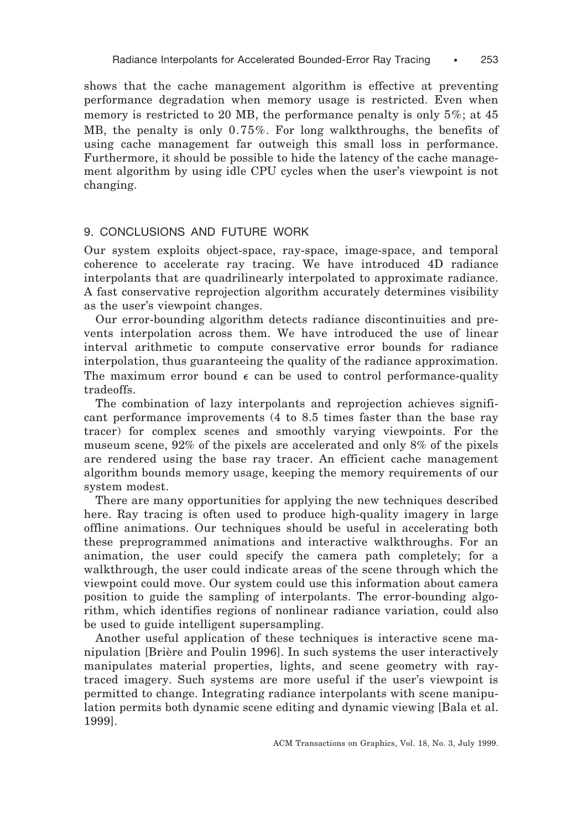shows that the cache management algorithm is effective at preventing performance degradation when memory usage is restricted. Even when memory is restricted to 20 MB, the performance penalty is only 5%; at 45 MB, the penalty is only 0.75%. For long walkthroughs, the benefits of using cache management far outweigh this small loss in performance. Furthermore, it should be possible to hide the latency of the cache management algorithm by using idle CPU cycles when the user's viewpoint is not changing.

## 9. CONCLUSIONS AND FUTURE WORK

Our system exploits object-space, ray-space, image-space, and temporal coherence to accelerate ray tracing. We have introduced 4D radiance interpolants that are quadrilinearly interpolated to approximate radiance. A fast conservative reprojection algorithm accurately determines visibility as the user's viewpoint changes.

Our error-bounding algorithm detects radiance discontinuities and prevents interpolation across them. We have introduced the use of linear interval arithmetic to compute conservative error bounds for radiance interpolation, thus guaranteeing the quality of the radiance approximation. The maximum error bound  $\epsilon$  can be used to control performance-quality tradeoffs.

The combination of lazy interpolants and reprojection achieves significant performance improvements (4 to 8.5 times faster than the base ray tracer) for complex scenes and smoothly varying viewpoints. For the museum scene, 92% of the pixels are accelerated and only 8% of the pixels are rendered using the base ray tracer. An efficient cache management algorithm bounds memory usage, keeping the memory requirements of our system modest.

There are many opportunities for applying the new techniques described here. Ray tracing is often used to produce high-quality imagery in large offline animations. Our techniques should be useful in accelerating both these preprogrammed animations and interactive walkthroughs. For an animation, the user could specify the camera path completely; for a walkthrough, the user could indicate areas of the scene through which the viewpoint could move. Our system could use this information about camera position to guide the sampling of interpolants. The error-bounding algorithm, which identifies regions of nonlinear radiance variation, could also be used to guide intelligent supersampling.

Another useful application of these techniques is interactive scene manipulation [Brière and Poulin 1996]. In such systems the user interactively manipulates material properties, lights, and scene geometry with raytraced imagery. Such systems are more useful if the user's viewpoint is permitted to change. Integrating radiance interpolants with scene manipulation permits both dynamic scene editing and dynamic viewing [Bala et al. 1999].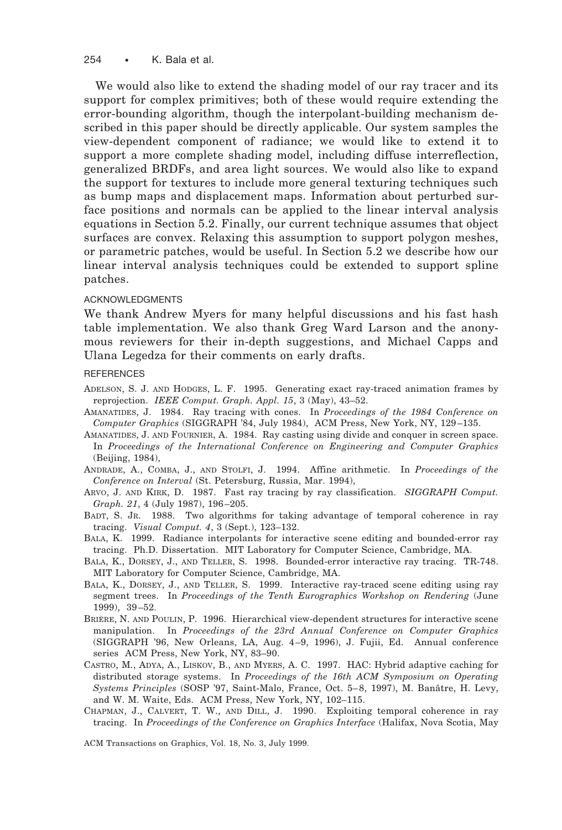We would also like to extend the shading model of our ray tracer and its support for complex primitives; both of these would require extending the error-bounding algorithm, though the interpolant-building mechanism described in this paper should be directly applicable. Our system samples the view-dependent component of radiance; we would like to extend it to support a more complete shading model, including diffuse interreflection, generalized BRDFs, and area light sources. We would also like to expand the support for textures to include more general texturing techniques such as bump maps and displacement maps. Information about perturbed surface positions and normals can be applied to the linear interval analysis equations in Section 5.2. Finally, our current technique assumes that object surfaces are convex. Relaxing this assumption to support polygon meshes, or parametric patches, would be useful. In Section 5.2 we describe how our linear interval analysis techniques could be extended to support spline patches.

#### ACKNOWLEDGMENTS

We thank Andrew Myers for many helpful discussions and his fast hash table implementation. We also thank Greg Ward Larson and the anonymous reviewers for their in-depth suggestions, and Michael Capps and Ulana Legedza for their comments on early drafts.

#### **REFERENCES**

- ADELSON, S. J. AND HODGES, L. F. 1995. Generating exact ray-traced animation frames by reprojection. *IEEE Comput. Graph. Appl. 15*, 3 (May), 43–52.
- AMANATIDES, J. 1984. Ray tracing with cones. In *Proceedings of the 1984 Conference on Computer Graphics* (SIGGRAPH '84, July 1984), ACM Press, New York, NY, 129–135.
- AMANATIDES, J. AND FOURNIER, A. 1984. Ray casting using divide and conquer in screen space. In *Proceedings of the International Conference on Engineering and Computer Graphics* (Beijing, 1984),
- ANDRADE, A., COMBA, J., AND STOLFI, J. 1994. Affine arithmetic. In *Proceedings of the Conference on Interval* (St. Petersburg, Russia, Mar. 1994),
- ARVO, J. AND KIRK, D. 1987. Fast ray tracing by ray classification. *SIGGRAPH Comput. Graph. 21*, 4 (July 1987), 196–205.
- BADT, S. JR. 1988. Two algorithms for taking advantage of temporal coherence in ray tracing. *Visual Comput. 4*, 3 (Sept.), 123–132.
- BALA, K. 1999. Radiance interpolants for interactive scene editing and bounded-error ray tracing. Ph.D. Dissertation. MIT Laboratory for Computer Science, Cambridge, MA.
- BALA, K., DORSEY, J., AND TELLER, S. 1998. Bounded-error interactive ray tracing. TR-748. MIT Laboratory for Computer Science, Cambridge, MA.
- BALA, K., DORSEY, J., AND TELLER, S. 1999. Interactive ray-traced scene editing using ray segment trees. In *Proceedings of the Tenth Eurographics Workshop on Rendering* (June 1999), 39–52.
- BRIÈRE, N. AND POULIN, P. 1996. Hierarchical view-dependent structures for interactive scene manipulation. In *Proceedings of the 23rd Annual Conference on Computer Graphics* (SIGGRAPH '96, New Orleans, LA, Aug. 4–9, 1996), J. Fujii, Ed. Annual conference series ACM Press, New York, NY, 83–90.
- CASTRO, M., ADYA, A., LISKOV, B., AND MYERS, A. C. 1997. HAC: Hybrid adaptive caching for distributed storage systems. In *Proceedings of the 16th ACM Symposium on Operating Systems Principles* (SOSP '97, Saint-Malo, France, Oct. 5–8, 1997), M. Banâtre, H. Levy, and W. M. Waite, Eds. ACM Press, New York, NY, 102–115.
- CHAPMAN, J., CALVERT, T. W., AND DILL, J. 1990. Exploiting temporal coherence in ray tracing. In *Proceedings of the Conference on Graphics Interface* (Halifax, Nova Scotia, May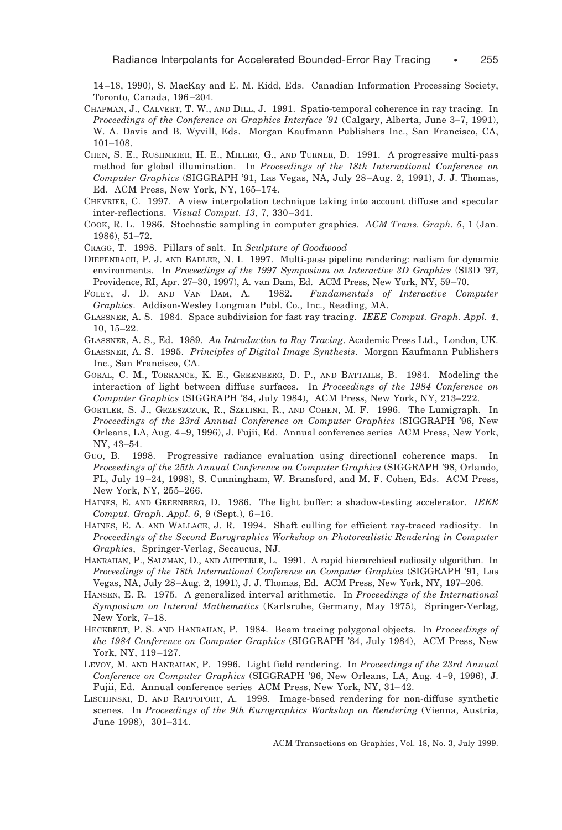14–18, 1990), S. MacKay and E. M. Kidd, Eds. Canadian Information Processing Society, Toronto, Canada, 196–204.

- CHAPMAN, J., CALVERT, T. W., AND DILL, J. 1991. Spatio-temporal coherence in ray tracing. In *Proceedings of the Conference on Graphics Interface '91* (Calgary, Alberta, June 3–7, 1991), W. A. Davis and B. Wyvill, Eds. Morgan Kaufmann Publishers Inc., San Francisco, CA, 101–108.
- CHEN, S. E., RUSHMEIER, H. E., MILLER, G., AND TURNER, D. 1991. A progressive multi-pass method for global illumination. In *Proceedings of the 18th International Conference on Computer Graphics* (SIGGRAPH '91, Las Vegas, NA, July 28–Aug. 2, 1991), J. J. Thomas, Ed. ACM Press, New York, NY, 165–174.
- CHEVRIER, C. 1997. A view interpolation technique taking into account diffuse and specular inter-reflections. *Visual Comput. 13*, 7, 330–341.
- COOK, R. L. 1986. Stochastic sampling in computer graphics. *ACM Trans. Graph. 5*, 1 (Jan. 1986), 51–72.
- CRAGG, T. 1998. Pillars of salt. In *Sculpture of Goodwood*
- DIEFENBACH, P. J. AND BADLER, N. I. 1997. Multi-pass pipeline rendering: realism for dynamic environments. In *Proceedings of the 1997 Symposium on Interactive 3D Graphics* (SI3D '97, Providence, RI, Apr. 27–30, 1997), A. van Dam, Ed. ACM Press, New York, NY, 59–70.
- FOLEY, J. D. AND VAN DAM, A. 1982. *Fundamentals of Interactive Computer Graphics*. Addison-Wesley Longman Publ. Co., Inc., Reading, MA.
- GLASSNER, A. S. 1984. Space subdivision for fast ray tracing. *IEEE Comput. Graph. Appl. 4*, 10, 15–22.
- GLASSNER, A. S., Ed. 1989. *An Introduction to Ray Tracing*. Academic Press Ltd., London, UK.
- GLASSNER, A. S. 1995. *Principles of Digital Image Synthesis*. Morgan Kaufmann Publishers Inc., San Francisco, CA.
- GORAL, C. M., TORRANCE, K. E., GREENBERG, D. P., AND BATTAILE, B. 1984. Modeling the interaction of light between diffuse surfaces. In *Proceedings of the 1984 Conference on Computer Graphics* (SIGGRAPH '84, July 1984), ACM Press, New York, NY, 213–222.
- GORTLER, S. J., GRZESZCZUK, R., SZELISKI, R., AND COHEN, M. F. 1996. The Lumigraph. In *Proceedings of the 23rd Annual Conference on Computer Graphics* (SIGGRAPH '96, New Orleans, LA, Aug. 4–9, 1996), J. Fujii, Ed. Annual conference series ACM Press, New York, NY, 43–54.
- GUO, B. 1998. Progressive radiance evaluation using directional coherence maps. In *Proceedings of the 25th Annual Conference on Computer Graphics* (SIGGRAPH '98, Orlando, FL, July 19–24, 1998), S. Cunningham, W. Bransford, and M. F. Cohen, Eds. ACM Press, New York, NY, 255–266.
- HAINES, E. AND GREENBERG, D. 1986. The light buffer: a shadow-testing accelerator. *IEEE Comput. Graph. Appl. 6*, 9 (Sept.), 6–16.
- HAINES, E. A. AND WALLACE, J. R. 1994. Shaft culling for efficient ray-traced radiosity. In *Proceedings of the Second Eurographics Workshop on Photorealistic Rendering in Computer Graphics*, Springer-Verlag, Secaucus, NJ.
- HANRAHAN, P., SALZMAN, D., AND AUPPERLE, L. 1991. A rapid hierarchical radiosity algorithm. In *Proceedings of the 18th International Conference on Computer Graphics* (SIGGRAPH '91, Las Vegas, NA, July 28–Aug. 2, 1991), J. J. Thomas, Ed. ACM Press, New York, NY, 197–206.
- HANSEN, E. R. 1975. A generalized interval arithmetic. In *Proceedings of the International Symposium on Interval Mathematics* (Karlsruhe, Germany, May 1975), Springer-Verlag, New York, 7–18.
- HECKBERT, P. S. AND HANRAHAN, P. 1984. Beam tracing polygonal objects. In *Proceedings of the 1984 Conference on Computer Graphics* (SIGGRAPH '84, July 1984), ACM Press, New York, NY, 119–127.
- LEVOY, M. AND HANRAHAN, P. 1996. Light field rendering. In *Proceedings of the 23rd Annual Conference on Computer Graphics* (SIGGRAPH '96, New Orleans, LA, Aug. 4–9, 1996), J. Fujii, Ed. Annual conference series ACM Press, New York, NY, 31–42.
- LISCHINSKI, D. AND RAPPOPORT, A. 1998. Image-based rendering for non-diffuse synthetic scenes. In *Proceedings of the 9th Eurographics Workshop on Rendering* (Vienna, Austria, June 1998), 301–314.